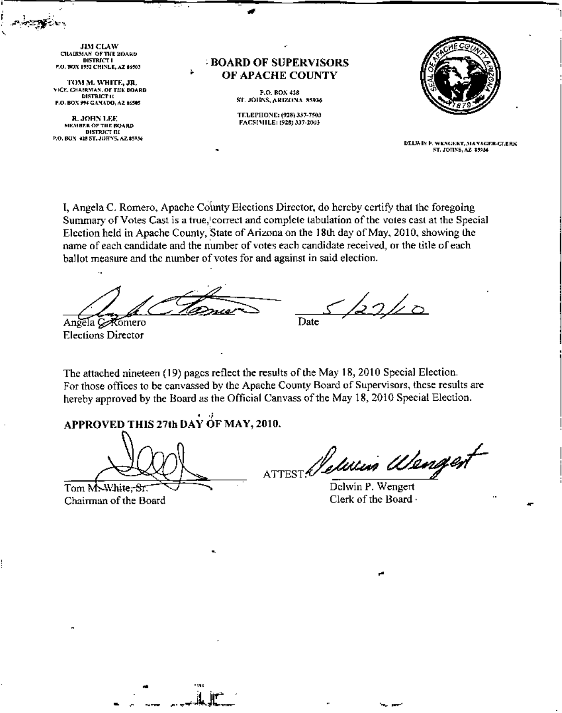**JIM CLAW** CHAIRMAN OF THE BOARD DISTRICT I P.O. BOX 1952 CHINLE, AZ 66503

ТОМ М. WHITE, JR. VICE, CHAIRMAN, OF THE BOARD<br>DISTRICT II P.O. BOX 994 GANADO, AZ 86505

**R. JOHN LEE** MEMBER OF THE BOARD **DISTRICT DI** P.O. BOX 428 ST. JOHNS, AZ \$5936

#### **BOARD OF SUPERVISORS OF APACHE COUNTY**

 $\overline{\phantom{a}}$ 

P.O. BOX 418 ST. JOHNS, ARIZONA 85936

TELEPHONE: (928) 337-7503 FACS(MILE: (928) 337-2003



DELWIN P. WENGERT, MANAGER-CLERK ST. JOHNS, AZ \$5934

I. Angela C. Romero, Apache County Elections Director, do hereby certify that the foregoing Summary of Votes Cast is a true, correct and complete tabulation of the votes cast at the Special Election held in Apache County, State of Arizona on the 18th day of May, 2010, showing the name of each candidate and the number of votes each candidate received, or the title of each ballot measure and the number of votes for and against in said election.

 $22/0$ Date Angela Comero

Elections Director

The attached nineteen (19) pages reflect the results of the May 18, 2010 Special Election. For those offices to be canvassed by the Apache County Board of Supervisors, these results are hereby approved by the Board as the Official Canvass of the May 18, 2010 Special Election.

#### APPROVED THIS 27th DAY OF MAY, 2010.

Tom MNWhite-Sr Chairman of the Board

ATTEST Delució Wengen

Delwin P. Wengert Clerk of the Board ·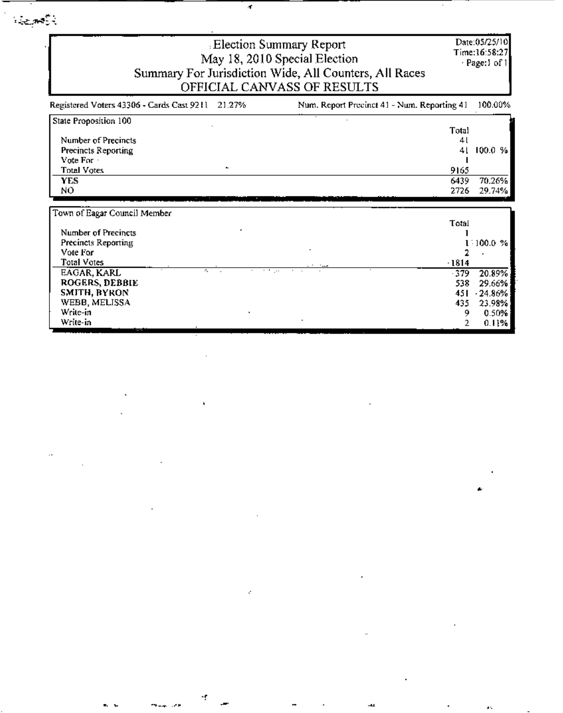#### : Election Summary Report Date:05/25/10 Time:16:58:27 May 18, 2010 Special Election Page:1 of 1 Summary For Jurisdiction Wide, All Counters, All Races OFFICIAL CANVASS OF RESULTS Registered Voters 43306 - Cards Cast 9211 21.27% Num. Report Precinct 41 - Num. Reporting 41 100.00% State Proposition 100 Total Number of Precincts  $41$ 41 100.0 % **Precincts Reporting** Vote For  $\mathbf{I}$ **Total Votes** 9165 **YES** 70.26% 6439 NO. 2726 29.74% Town of Eagar Council Member Total Number of Precincts  $\mathbf{I}$ Precincts Reporting  $1:100.0%$ Vote For  $\overline{2}$  $\epsilon$ **Total Votes**  $-1814$ EAGAR, KARL 20.89%  $379$ **ROGERS, DEBBIE** 538 29.66% SMITH, BYRON 451 - 24.86% WEBB, MELISSA 435 23.98% Write-in 0.50% 9 Write-in  $\overline{2}$  $0.11%$

٠ŗ

 $\overline{a}$ 

 $\mathbf{r}$ 

**Photos Links** 

×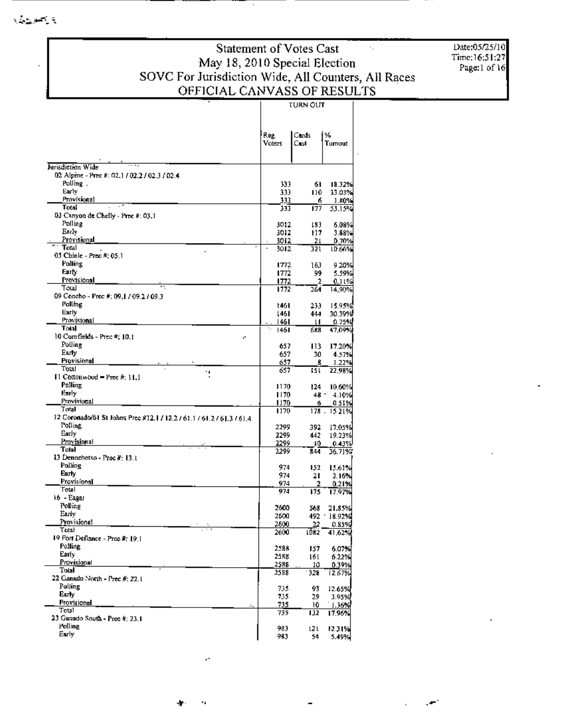$\mathcal{L}_{\text{max}}$  , where  $\mathcal{L}_{\text{max}}$ 

### Statement of Votes Cast  $\ddot{\phantom{a}}$  . May 18, 2010 Special Election<br>SOVC For Jurisdiction Wide, All Counters, All Races<br>OFFICIAL CANVASS OF RESULTS

Date:05/25/10<br>Time:16:51:27 Page:1 of 16

|                                                                                  |                | LUKN QUT                |                 |  |
|----------------------------------------------------------------------------------|----------------|-------------------------|-----------------|--|
|                                                                                  |                |                         |                 |  |
|                                                                                  | Reg.<br>Voters | Cards<br>Cast           | %<br>Turnout    |  |
| Jurisdiction Wide                                                                |                |                         |                 |  |
| 02 Alpine - Prec #: 02,1 / 02,2 / 02.3 / 02.4                                    |                |                         |                 |  |
| Polling,                                                                         | 333            | 61                      | 18.32%          |  |
| Early                                                                            | 333            | 110.                    | 33.03%          |  |
| Provisional<br>Total                                                             | 333<br>333     | 6<br>177                | 1.80%<br>53.15% |  |
| 03 Canyon de Chelly - Prec #: 03.1                                               |                |                         |                 |  |
| Polling                                                                          | 3012           | 183                     | 6.08%           |  |
| Early<br>Provisional                                                             | 3012<br>3012   | 117<br>21               | 3.88%<br>0.70%  |  |
| Total<br>$\overline{\phantom{a}}$                                                | 3012           | 321                     | 10.66%          |  |
| 05 Chinle - Prec #: 05.1                                                         |                |                         |                 |  |
| Polling                                                                          | 1772           | 163                     | 9.20%           |  |
| Early<br>Provisional                                                             | 1772<br>1772   | 99<br>2                 | 5.59%<br>0.11%  |  |
| ₹<br>Total                                                                       | 1772           | 264                     | 14,90%          |  |
| 09 Concho - Prec #; 09.1 / 09.2 / 09.3                                           |                |                         |                 |  |
| Polling<br>Early                                                                 | 1461           | 233                     | 15.95%          |  |
| Provisional                                                                      | 1461<br>1461   | 444<br>u                | 30.39%<br>0.75% |  |
| Total                                                                            | 1461           | 688                     | 47.09%          |  |
| 10 Comfields - Prec #: 10.1<br>r.<br>Polling                                     |                |                         |                 |  |
| Earty                                                                            | 657<br>657     | 113<br>30               | 17.20%<br>4.57% |  |
| Provisional                                                                      | 657            | ß                       | 1.22%           |  |
| Total<br>٠,                                                                      | 657            | 151                     | 22,98%          |  |
| $11$ Cotton wood = Prec #: 11.1<br>Polling                                       |                |                         |                 |  |
| Early                                                                            | 1170<br>1170   | 124<br>48.              | 10.60%<br>4.10% |  |
| Provisional                                                                      | 1170           | 6                       | 0.51%           |  |
| Total                                                                            | 1170           | 178.7                   | 1521%           |  |
| 12 Coronado/61 St Johns Prec #12.1 / 12.2 / 61.1 / 61.2 / 61.3 / 61.4<br>Polling | 2299           | 392                     | 17.05%          |  |
| Carly                                                                            | 2299           | 442                     | 19.23%          |  |
| Provisional                                                                      | 2299           | ŦO                      | 0.43%           |  |
| Total<br>13 Dennehotso - Prec $\theta$ : 13.1                                    | 2299           | 844                     | 36.71%          |  |
| Polling                                                                          | 974            | 152                     | 15.61%          |  |
| Early                                                                            | 974            | 21                      | 2.16%           |  |
| Provisional<br><b>Total</b>                                                      | 974            | 2                       | 0.21%           |  |
| 16 - Eagar                                                                       | 974            | 175                     | 17.97%          |  |
| Polling                                                                          | 2600           | 563                     | 21.85%          |  |
| Early                                                                            | 2600           |                         | 492 18.92%      |  |
| Provisional<br>Total                                                             | 2600           | 22                      | 0.85%           |  |
| 19 Fort Defiance - Proc #: 19.1                                                  | 2600           | 1082                    | 41,62%          |  |
| Polling                                                                          | 2588           | 157                     | 6.07%           |  |
| Early                                                                            | 2588           | t6 l                    | 6.22%           |  |
| Provisional<br>Total                                                             | 2588           | 10<br>328               | 0.39%           |  |
| 22 Ganado North - Prec #: 22.1                                                   | 2588           |                         | 12.67%          |  |
| Polling                                                                          | 735            | 93                      | 12.65%          |  |
| Early<br>Provisional                                                             | 755            | 29                      | 3.95%           |  |
| Α,<br>Total                                                                      | 735<br>735     | 10.<br>$\overline{132}$ | 1.36%<br>17.96% |  |
| 23 Ganado South - Prec #: 23.1                                                   |                |                         |                 |  |
| Polline<br>Early                                                                 | 983            | LŽ L                    | 12.31%          |  |
|                                                                                  | 983            | 54                      | 5.49%           |  |

٠,

y.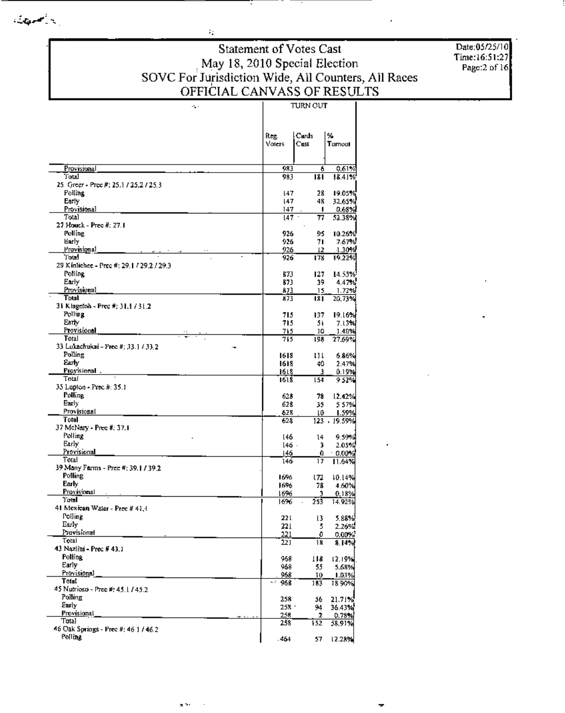والمتصبحة

# Statement of Votes Cast May 18, 2010 Special Election<br>SOVC For Jurisdiction Wide, All Counters, All Races<br>OFFICIAL CANVASS OF RESULTS

 $\mathbb{N}$ 

Date:05/25/10 Time:16:51:27<br>Page:2 of 16

| o,                                        |                | TURN OUT              |                    |  |  |  |
|-------------------------------------------|----------------|-----------------------|--------------------|--|--|--|
|                                           | Reg.<br>Voiers | ∤Cards<br><b>CESI</b> | %.<br>Turnout      |  |  |  |
| Provisional                               | 983            | ð.                    | 0.61%              |  |  |  |
| Total                                     | 983            | 181                   | 18.41%             |  |  |  |
| 25 Green - Pree #: 25.1 / 25.2 / 25.3     |                |                       |                    |  |  |  |
| Poling<br>Early                           | 147<br>147     | 28<br>48.             | 19.05%<br>32.65%   |  |  |  |
| Provisional                               | 147            |                       | 0.68%              |  |  |  |
| Total                                     | $147 -$        | 77                    | 52.38%             |  |  |  |
| 27 Houck - Prec #: 27.1                   |                |                       |                    |  |  |  |
| Polling<br>Early                          | 926<br>926     | 95<br>71.             | 10.26%<br>7.67%    |  |  |  |
| Provisional                               | 926            | 12                    | 1.30%              |  |  |  |
| Total                                     | 926            | 178                   | 19.22%             |  |  |  |
| 29 Kinlichee - Prec #: 29   7 29 2 7 29 3 |                |                       |                    |  |  |  |
| Polling<br>Early                          | 873<br>873     | 127<br>39             | 14.55%<br>4.47%    |  |  |  |
| Provisional                               | 873.           | 15                    | 1.72%              |  |  |  |
| Total                                     | #73            | 181                   | 20,73%             |  |  |  |
| 31 Klagetnh - Prec #; 31,1 / 31.2         |                |                       |                    |  |  |  |
| Polling                                   | 715            | 137.                  | 19.16%             |  |  |  |
| Early<br>Provisional                      | 715.<br>715    | 51<br>10              | 7.13%<br>1.40%     |  |  |  |
| Total                                     | 715.           | 198                   | 27.69%             |  |  |  |
| 33 Lukachukai - Prec #; 33.1 / 33.2       |                |                       |                    |  |  |  |
| Polling<br>£arlv                          | 1618           | ш                     | 6.86%              |  |  |  |
| Provisional .                             | 1618<br>1618.  | 40.<br>э              | 2.47%<br>0.19%     |  |  |  |
| Total                                     | 1618.          | 154                   | 9.52%              |  |  |  |
| 35 Lupton - Prec #: 35.1                  |                |                       |                    |  |  |  |
| Polling<br>Early                          | 628            | 78                    | 12.42%             |  |  |  |
| Provisional                               | 628<br>628     | 35<br>LO.             | 557%<br>1.59%      |  |  |  |
| Total                                     | 628            |                       | 123 - 19.59%       |  |  |  |
| 37 McNary - Prec #: 37.1                  |                |                       |                    |  |  |  |
| Polling<br>Early                          | l 46           | 14                    | 9.59%              |  |  |  |
| Provisional                               | l46 -<br>146   | 3.<br>0.              | 2.05%<br>$-0.00\%$ |  |  |  |
| Total                                     | 146            | 17                    | 11.64%             |  |  |  |
| 39 Many Farms - Prec #: 39.1 / 39.2       |                |                       |                    |  |  |  |
| Polling<br>Early                          | 1696           | 172                   | 10.14%             |  |  |  |
| Provisional                               | 1696<br>1696   | 78<br>Э.              | 4.60%<br>0.18%     |  |  |  |
| Total                                     | 1696           | 253                   | 14.92%             |  |  |  |
| 41 Mexican Water - Prec # 41, 1           |                |                       |                    |  |  |  |
| Polling<br>Early                          | 22 L           | 13                    | 5.88%)             |  |  |  |
| Provisional                               | 221<br>221     | 5<br>0                | 2.26%<br>0.00%     |  |  |  |
| Total                                     | 221            | 18                    | 8.14%              |  |  |  |
| 43 Nazimi - Prec # 43.1                   |                |                       |                    |  |  |  |
| <b>Polling</b><br>Early                   | 968            | 118                   | 12.19%             |  |  |  |
| Provisional                               | 968<br>968     | 55<br>ŦΟ              | 5.68%<br>1.03%     |  |  |  |
| Total                                     | G.<br>968      | 183                   | 18 90%             |  |  |  |
| 45 Nutriesn - Prec #: 45.1 / 45.2         |                |                       |                    |  |  |  |
| Polling<br>Early                          | 258            | 56                    | 21.71%             |  |  |  |
| Provisional                               | 258 *<br>258   | 94<br>2               | 36.43%<br>0.78%    |  |  |  |
| Total                                     | 258            | 152                   | 58.91%             |  |  |  |
| 46 Oak Springs - Prec #: 46 1 / 46.2      |                |                       |                    |  |  |  |
| Polling                                   | .464           | 57                    | 12.28%             |  |  |  |

 $\mathbf{x}^{(n)}$  $\sim$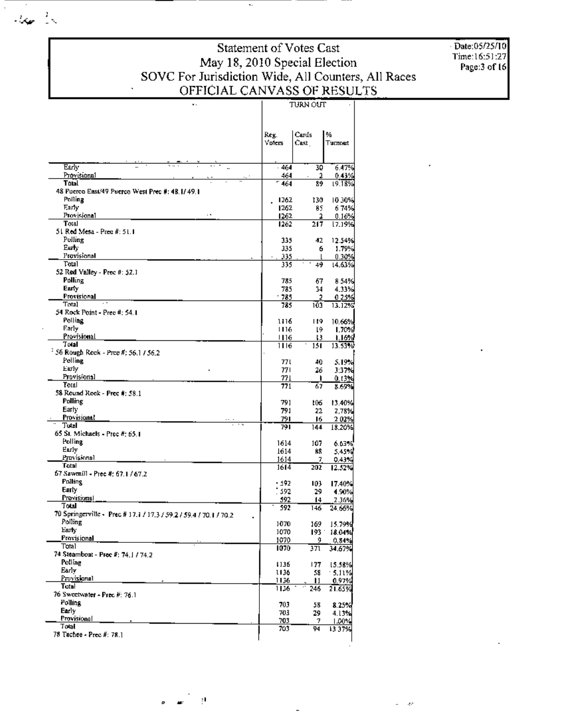$\ddotsc$ 

 $\mathcal{A}_{\mathbf{S}} = \frac{1}{2} \mathbf{x}$ 

l,

 $\overline{D}$ ate:05/25/10 Time:16:51:27 Page:3 of 16

| . .                                                               |                | TURN OUT        |                 |
|-------------------------------------------------------------------|----------------|-----------------|-----------------|
|                                                                   |                |                 |                 |
|                                                                   | Reg.<br>Voters | Cards<br>Cast . | 蛅<br>Tucocaet   |
|                                                                   |                |                 |                 |
| Early                                                             | $-464$         | 30              | 6.47%           |
| Provisional                                                       | 464            | 2<br>$\cdot$    | 0.43%           |
| Total<br>48 Puerco East/49 Puerco West Prec #: 48.1/49.1          | 464            | 89              | 19.18%          |
| Polling                                                           | 1262           | 130             | 10.30%          |
| Early<br>.,                                                       | 1262           | 85              | 6.74%           |
| Provisional<br>Total                                              | 1262<br>1262   | 2<br>217        | 0.16%<br>17.19% |
| 51 Red Mesa - Prec #: 51.1                                        |                |                 |                 |
| Polling<br>Early                                                  | 335            | 42              | 12.54%          |
| Provisional                                                       | 335<br>335     | 6<br>t          | 1.79%<br>0.30%  |
| Total                                                             | 335            | 49              | 14.63%          |
| 52 Red Valley - Prec #: 52.1<br>Polling                           |                |                 |                 |
| Early                                                             | 785<br>785     | 67<br>34        | 8 54%<br>4.33%  |
| Provisional                                                       | - 785          | 2               | 0.25%           |
| Total<br>54 Rock Point - Prec #: 54.1                             | 785            | 103             | 13.12%          |
| Polling                                                           | 1116           | 119             | 10.66%          |
| Early                                                             | 1116           | 19              | 1.70%           |
| Provisional<br>Total                                              | 1116           | в               | 1.16%           |
| <sup>2</sup> 56 Rough Rock - Pree #: 56.1 / 56.2                  | 1116           | 151             | 13.53%          |
| Polling                                                           | 77 L           | 40              | 5. I 9%         |
| Early                                                             | 771            | 26              | 3.37%l          |
| Provisional<br>Total                                              | 771<br>771     | ı<br>67         | 0.13%<br>8.69%  |
| 58 Round Rock - Prec #: 58.1                                      |                |                 |                 |
| Polling                                                           | 791            | 106             | 13.40%          |
| Early<br>Provisional                                              | 791<br>791     | 22<br>16        | 2,78%<br>202%   |
| Tutal                                                             | 791            | 144             | 18.20%          |
| 65 St. Michaels - Prec #: 65.1<br>Polling                         |                |                 |                 |
| Ëarlv                                                             | 1614<br>1614   | 107<br>ß8       | 6.63%<br>5.45%  |
| Provisional                                                       | 1614           | 7               | 0.43%           |
| Total<br>67 Sawmill - Prec #: 67.1 / 67.2                         | 1614           | 202             | 12.52%          |
| <b>Polling</b>                                                    | - 592          | 103             | 17.40%          |
| Early                                                             | : 592          | 29.             | 4.90%           |
| Provisional<br>Total                                              | 592            | 14              | 2.36%           |
| 70 Springerville - Prec # 17.1 / 17.3 / 59.2 / 59.4 / 70.1 / 70.2 | 592            | 146             | 24.66%          |
| Polling                                                           | 1070           | 169             | 15.79%          |
| Early<br>Provisional                                              | 1070           | 193.1           | 18.04%          |
| Total                                                             | 1070<br>1070   | 9<br>371        | 0.84%<br>34.67% |
| 74 Steamboat - Prec #: 74.1 / 74.2                                |                |                 |                 |
| Polline<br>Early                                                  | 1136           | 177             | 15.58%          |
| Provisional                                                       | 1136<br>1136   | 58<br>11        | ÷5.11%          |
| Tutal                                                             | 1136           | 246             | 0.97%<br>21.65% |
| 76 Sweetwater - Prec #: 76.1                                      |                |                 |                 |
| Polling<br>Early                                                  | 703<br>703     | 58              | 8.25%           |
| Provisional                                                       | 703            | 29<br>7         | 4.13%<br>1.00%  |
| Total<br>78 Tachee - Prec #: 78.1                                 | 703            | 94              | 13 3 7%         |
|                                                                   |                |                 |                 |

 $\mathbf{H}$ 

 $\omega = \beta \sigma$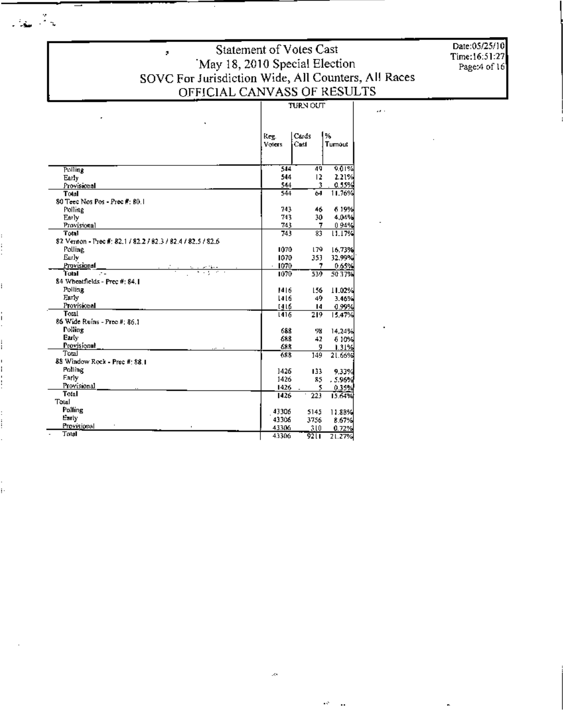Date:05/25/10 Time:16:51:27<br>Page:4 of 16

 $\hat{\mathcal{A}}$  .

|                                                             |              | TURN OUT  |                 |  |  |  |
|-------------------------------------------------------------|--------------|-----------|-----------------|--|--|--|
| ٠                                                           | Reg.         | Cards     | %               |  |  |  |
|                                                             | Voters       | Cast      | Tumout          |  |  |  |
|                                                             |              |           |                 |  |  |  |
| Polling                                                     | 544          | 49        | 9.01%           |  |  |  |
| Early                                                       | 544          | 12        | 2.21%           |  |  |  |
| Provisional                                                 | 544          | 3         | 0.55%           |  |  |  |
| Total                                                       | 544          | 64        | 11.76%          |  |  |  |
| 80 Teec Nos Pos - Prec #: 80.1                              |              |           |                 |  |  |  |
| Polling                                                     | 743          | 46        | 6 19%           |  |  |  |
| Early                                                       | 743          | 30        | 4,04%           |  |  |  |
| Provisional                                                 | 743          | 7         | 0.94%           |  |  |  |
| Total                                                       | 743          | 83        | 11.17%          |  |  |  |
| 82 Vernon - Prec #: 82.1 / 82.2 / 82.3 / 82.4 / 82.5 / 82.6 |              |           |                 |  |  |  |
| Polline                                                     | 1070         | 179       | 16.73%          |  |  |  |
| Eurly                                                       | 1070         | 353       | 32.99%          |  |  |  |
| Provisional<br>Tulal<br>$\mathcal{F}$ =                     | 1070<br>1070 | 7         | 0.65%           |  |  |  |
| 84 Wheatfields - Prec #: 84.1                               |              | 539       | 50.37%          |  |  |  |
| Polling                                                     | 1416         |           |                 |  |  |  |
| Early                                                       |              | 156       | 11.02%          |  |  |  |
| Provisional                                                 | 1416         | 49        | 3.46%           |  |  |  |
| Total                                                       | 1416<br>1416 | 14<br>219 | 0.99%<br>15.47% |  |  |  |
| 86 Wide Ruins - Prec #: 86.1                                |              |           |                 |  |  |  |
| Polling                                                     | 688          | 98        | 14,24%          |  |  |  |
| Early                                                       | 688          | 42        | 6.10%           |  |  |  |
| Provisional                                                 | 688          | 9         | 1.31%           |  |  |  |
| Total                                                       | 688          | 149       | 21.66%          |  |  |  |
| 88 Window Rock - Prec #: 88.1                               |              |           |                 |  |  |  |
| Polling                                                     | 1426         | 133       | 9.33%           |  |  |  |
| Early                                                       | 1426         | 85        | . 5.96%         |  |  |  |
| Provisional                                                 | 1426         | 5         | 0.35%           |  |  |  |
| Total                                                       | 1426         | 223       | 15.64%          |  |  |  |
| Total                                                       |              |           |                 |  |  |  |
| Polling                                                     | 43306        | 5145      | 11.88%          |  |  |  |
| Early                                                       | 43306        | 3756      | 8.67%           |  |  |  |
| Provisional                                                 | 4330G        | 310       | 0.72%           |  |  |  |
| Total                                                       | 43306        | 9211      | 21.27%          |  |  |  |
|                                                             |              |           |                 |  |  |  |

ي جي.<br>موقع الطول

į٠

 $\phi$ 

оč,  $\ddot{\phantom{a}}$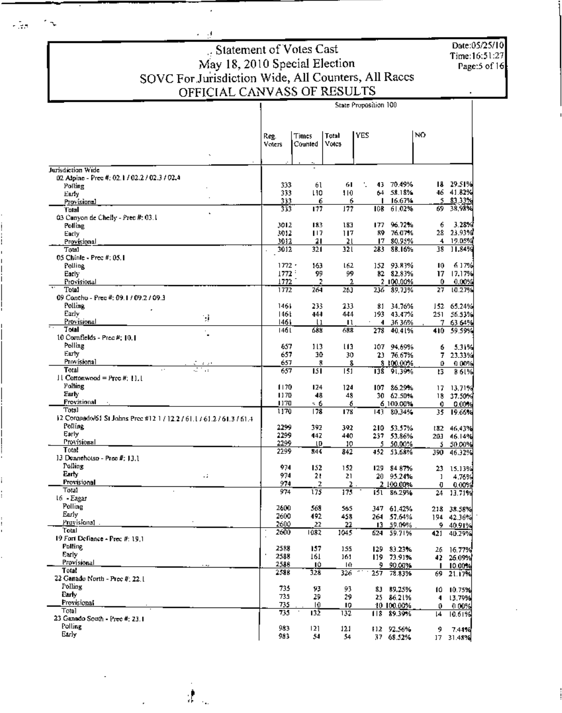$\mathbf{z} = \mathbf{z} \mathbf{d}$ 

 $\gamma$ 

 $\sim 10^{-1}$ 

Date:05/25/10<br>Time:16:51:27<br>Page:5 of 16

ä,

|                                                                       | State Proposition 100 |                  |                |            |                         |            |                        |
|-----------------------------------------------------------------------|-----------------------|------------------|----------------|------------|-------------------------|------------|------------------------|
|                                                                       |                       |                  |                |            |                         |            |                        |
|                                                                       | Reg.<br>Voiers        | Times<br>Counted | Total<br>Votes | <b>YES</b> |                         | NO         |                        |
|                                                                       |                       |                  |                |            |                         |            |                        |
| Jurisdiction Wide                                                     |                       |                  |                |            |                         |            |                        |
| 02 Alpine - Prec #: 02.1 / 02.2 / 02.3 / 02.4                         |                       |                  |                |            |                         |            |                        |
| Polling                                                               | 333<br>333            | 61<br>110        | 61<br>110      | 43.<br>64  | 70.49%<br>58.18%        |            | 18 29.51%<br>46 41.82% |
| Early<br>Provisional                                                  | 333                   | 6                | 6              |            | 16.67%                  | 5.         | 83.33%                 |
| Total                                                                 | 333                   | 177              | 177            | 108        | 61.02%                  | 69         | 38,98%                 |
| 03 Canyon de Chelly - Prec #: 03.1                                    |                       |                  |                |            |                         |            |                        |
| Polline                                                               | 3012                  | 183              | 183            | 177        | 96.72%                  | 6          | 3.28%<br>23.93%        |
| Early<br>Provisional                                                  | 3012<br>3012          | 117<br>21        | 117<br>21      | 89<br>17   | 76.07%<br>80.95%        | 28.<br>4   | 19.05%                 |
| Total                                                                 | 3012                  | 321              | 321            | 283        | 88.16%                  | 38         | 11.84%                 |
| 05 Chinle - Prec #: 05.1                                              |                       |                  |                |            |                         |            |                        |
| Polling                                                               | $1772 -$              | 163              | 162            |            | 152 93.83%              | 10         | 617%                   |
| Early                                                                 | 1772 :                | 99               | 99             |            | 82 82.83%               | 17         | 17.17%                 |
| Provisional<br>Total                                                  | 1772<br>1772          | 2<br>264         | 2<br>263       |            | 2 100,00%<br>236 89.73% | 0<br>27    | 0.00%<br>10.27%        |
| 09 Concho - Prec #: 09.1 / 09.2 / 09.3                                |                       |                  |                |            |                         |            |                        |
| Polling                                                               | 1461                  | 233              | 233            | 81         | 34.76%                  |            | 152 65.24%             |
| Early<br>9ì.                                                          | 146 L                 | 444              | 444            |            | 193 43.47%              |            | 251 56.53%             |
| Provisional                                                           | 1461                  | $\mathfrak{u}$   | п              |            | 4 3636%                 |            | 7 63 64%               |
| Total<br>10 Comfields - Prec #: 10.1                                  | 1461                  | 688              | 688            | 273        | 40.41%                  | 410        | 59.59%                 |
| Polling                                                               | 657                   | 113              | Ш              | 107.       | 94.69%                  | 6          | 5.31%                  |
| Early                                                                 | 657                   | 30               | 30             | 23.        | 76.67%                  | 7          | 23.33%                 |
| Provisional<br>$\mathcal{L} \rightarrow \mathcal{L}$                  | 657                   | Ŗ                | 8              |            | 8 100.00%               | ٥          | 0.00%                  |
| Total<br>$\ddot{\phantom{a}}$                                         | 657                   | 151              | 151            |            | 138 91.39%              | 13         | 861%                   |
| Il Cottonwood = Prec #: $\mathbf{H}$ .                                |                       |                  |                |            |                         |            |                        |
| Polling<br>Early                                                      | 1170.<br>1170         | 124<br>48        | 124<br>48      | 107.       | 86.29%                  | 17         | 13.71%                 |
| Provisional                                                           | 1170                  | - 6              | 6              |            | 30 62.50%<br>6 100.00%  | 18<br>0    | 37.50%<br>0.00%        |
| Total                                                                 | 1170                  | 178              | 178            | 143.       | 80.34%                  | 35         | 19.66%                 |
| 12 Coronado/61 St Johns Prec #12 1 / 12.2 / 61.1 / 61.2 / 61.3 / 61.4 |                       |                  |                |            |                         |            |                        |
| Polling                                                               | 2299                  | 392              | 392            |            | 210 53.57%              |            | 182 46.43%             |
| Early<br>Provisional                                                  | 2299<br>2299          | 442<br>ιD        | 440            |            | 237 53.86%              |            | 203 46.14%             |
| Total                                                                 | 2299                  | 844              | 10<br>842      | 5.<br>452  | 50.00%<br>53.68%        | s.<br>390  | 50,00%<br>46.32%       |
| 13 Dennehotso - Proc $\#$ : 13.1                                      |                       |                  |                |            |                         |            |                        |
| Polling                                                               | 974                   | 152              | 152            | 129        | 84 87%                  | 23         | 15.13%                 |
| Early<br>vá.<br>Provisional                                           | 974                   | 21.              | 21             | 20.        | 95.24%                  | ı          | 4.76%                  |
| Total                                                                 | 974<br>974            | z<br>175         | 2              |            | 2 100.00%               | o          | 0.00%                  |
| 16 - Eagar                                                            |                       |                  | 175            | 15 L       | 86.29%                  | 24         | 13.71%                 |
| Polling                                                               | 2600                  | 568              | 565            |            | 347 61.42%              |            | 218 38.58%             |
| Early                                                                 | 2600                  | 492              | 458            |            | 264 57.64%              |            | 194 42.36%             |
| Provisional .<br>'l'otal                                              | 2600                  | 22               | 22             |            | 13 59.09%               |            | 9 40.91%               |
| 19 Fort Defiance - Prec #: 19,1                                       | 2600                  | 1032             | 1045           | 624        | 59.71%                  | 421        | 40.29%                 |
| Polling,                                                              | 2588                  | 157              | 155            |            | 129 83.23%              |            |                        |
| Early                                                                 | 2588                  | 161              | 161            |            | 119 73.91%              | 26.<br>42. | 16.77%<br>26.09%       |
| Provisional                                                           | 2588                  | 10.              | Ιŵ             | 9.         | 90.00%                  | п.         | 10.00%                 |
| Total                                                                 | 2588                  | 328              | 326            |            | 257 78.83%              | 69.        | 21.17%                 |
| 22 Ganado North - Prec #: 22.1<br>Polling                             |                       |                  |                |            |                         |            |                        |
| Early                                                                 | 735<br>735            | 93<br>29.        | 93<br>29       | 83.        | 89.25%<br>25 86.21%     | 10.        | 10.75%                 |
| Provisional                                                           | 735                   | 10.              | 10             |            | 10 100.00%              | 4<br>0     | 13,79%<br>0.00%        |
| Total                                                                 | 735                   | $13\overline{2}$ | 132            | 118        | 89.39%                  | Į4         | 10.61%                 |
| 23 Ganado South - Prec #: 23.1<br>Polling                             |                       |                  |                |            |                         |            |                        |
| Early                                                                 | 983<br>983            | 2                | 121            |            | 112 92.56%              | 9          | 7.44%                  |
|                                                                       |                       | 54               | 54             |            | 37 68.52%               |            | 17 31.48%              |

 $\int_{\mathbb{R}^{n-1}}$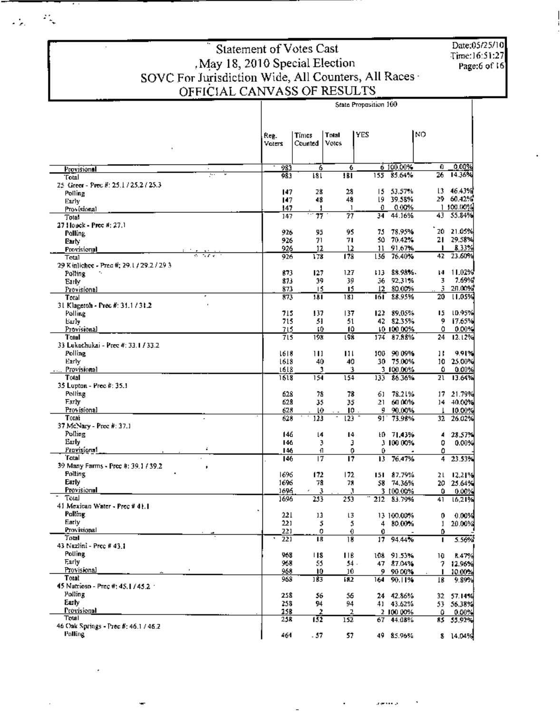Date:05/25/10<br>Time:16:51:27<br>Page:6 of 16

## Statement of Votes Cast May 18, 2010 Special Election<br>SOVC For Jurisdiction Wide, All Counters, All Races<br>OFFICIAL CANVASS OF RESULTS State Proposition 100

 $\mathbb{Z}_q$ 

 $\mathcal{L}(\mathcal{E})$ 

|                                                  | State Proposition 100 |                 |                                |          |                        |              |                        |  |
|--------------------------------------------------|-----------------------|-----------------|--------------------------------|----------|------------------------|--------------|------------------------|--|
|                                                  | Reg.                  | Times           | Trial                          | YES      |                        | NÓ           |                        |  |
|                                                  | Voters                | Counted         | Votes                          |          |                        |              |                        |  |
| Provisional                                      | 983                   | 6               | 6                              |          | 6 100.00%              | 0            | 0.00%                  |  |
| $\ddotsc$<br>Total                               | 983                   | 181             | B                              | 155      | 85.64%                 | 26           | 14.36%                 |  |
| 25 Green - Prec #: 25.1 / 25.2 / 25.3<br>Polling | 147                   | 28              | 28                             | 15       | 53.57%                 | 13.          | 46.43%                 |  |
| Early                                            | 147                   | 48              | 48                             | 19.      | 39.58%                 |              | 29 60.42%              |  |
| Provisional                                      | 147<br>147            | J<br>77         | 1<br>77                        | O<br>34  | 0.00%<br>44.16%        |              | 1 100.00%<br>43 55.84% |  |
| Tota!<br>27 Houck - Prec #: 27.1                 |                       |                 |                                |          |                        |              |                        |  |
| Polling                                          | 926                   | 95              | 95                             | 75.      | 78.95%                 |              | 20 21.05%              |  |
| Early.<br>Provisional                            | 926<br>926            | 71<br>12        | 71<br>12                       | 50<br>11 | 70.42%<br>91,67%       | 21.<br>ı     | 29.58%<br>8.33%        |  |
| v.<br>Teatrice.<br>Total                         | 926                   | 178             | 178                            | 136      | 76.40%                 | 42           | 23.60%                 |  |
| 29 Kinlichee - Prec #: 29.1 / 29.2 / 29.3<br>۰.  | 873                   | 127             | 127                            | 113      | 88.98%.                | 14           | 11.02%                 |  |
| Polling<br>Early                                 | 873                   | 39              | 39                             | 36       | 92,31%                 | 3            | 7.69%                  |  |
| Provisional                                      | 873                   | 15              | 15                             | 12       | 80.00%                 | 3            | 20.00%                 |  |
| ٠<br>Total<br>31 Klageton - Prec #: 31.1 / 31.2  | 873                   | 181             | 181                            | 161      | 88.95%                 | 20           | 11.05%                 |  |
| Polling                                          | 715                   | 137             | 137                            |          | 122 89.05%             | 15           | 10.95%                 |  |
| burly.                                           | 715                   | 51              | 51                             |          | 42 82.35%              | 9            | 17.65%                 |  |
| Provisional<br>Total                             | 715<br>715            | 10<br>198       | 10<br>T98                      | 174      | 10 100 00%<br>87.88%   | 0<br>24      | 0.00%<br>12.12%        |  |
| 33 Lukachukai - Prec #: 33.1 / 33.2              |                       |                 |                                |          |                        |              |                        |  |
| Polling                                          | 1618<br>1618          | 111<br>40       | Ш<br>40                        | 100-     | 90.09%                 | п<br>10.     | 9.91%<br>25,00%        |  |
| Early<br>Provisional                             | 1618                  | 3               |                                | з        | 30 75.00%<br>3 100.00% | ٥            | $0.00\%$               |  |
| Total                                            | 1618                  | 154             | 154                            |          | 133 86.36%             | 21           | 13.64%                 |  |
| 35 Lupton - Prec #: 35.1<br>Polling              | 628                   | 78              | 78                             | 61       | 78.21%                 | 17.          | 21.79%                 |  |
| Early                                            | 628                   | 35              | 35                             |          | 21 60.00%              |              | 14 40.00%              |  |
| Provisional                                      | 628                   | 10              | ю                              | 9.       | 90.00%                 | $\mathbf{I}$ | 10.00%                 |  |
| Total<br>37 McNary - Prec #: 37.1                | 628                   | 123             | 123                            | 91.      | 73.98%                 | 32.          | 26.02%                 |  |
| Polling                                          | 146                   | l4              | 14                             |          | 10 71.43%              | 4            | 28.57%                 |  |
| Euly<br>Provisional<br>ă.                        | 146<br>146            |                 | 3<br>з<br>ſ.                   | 0<br>o   | 3 100 00%              | 0<br>٥       | 0.00%                  |  |
| 'Tatal                                           | 146                   | $\overline{17}$ | 17                             | в        | 76.47%                 | 4            | 23.53%                 |  |
| 39 Many Farms - Prec #: 39.1 / 39.2<br>,         |                       |                 |                                |          |                        |              |                        |  |
| Polling<br>Early                                 | 1696<br>1696          | 172<br>78       | 172<br>78                      | 58       | 151 87.79%<br>74.36%   | 21<br>20     | 12.21%<br>25.64%       |  |
| Provisional                                      | 1696                  | з               | J                              |          | 3 100.00%              | Û            | 0.00%                  |  |
| Total<br>41 Mexican Water - Prec # 41.1          | 1696                  | 253             | 253                            |          | 212 83.79%             | 41           | 16,21%                 |  |
| Polling                                          | 221                   | 13              | l3                             |          | 13 100,00%             | 0            | 0.00%                  |  |
| Early                                            | 221                   |                 | 5<br>5                         |          | 480.00%                | 1            | 20.00%                 |  |
| Provisional<br>Total                             | 221<br>221            | 18              | 0<br>$\ddot{\mathbf{0}}$<br>18 | 0<br>17  | 94.44%                 | ٥<br>п       | 5.56%                  |  |
| 43 Nazlini - Prec # 43,1                         |                       |                 |                                |          |                        |              |                        |  |
| <b>Polling</b><br>Farly                          | 968                   | 118             | 118                            |          | 108 91.53%             | 10           | R.47%                  |  |
| Provisional                                      | 968<br>968            | 55.<br>10.      | 10.                            | 54.      | 47 87.04%<br>9 90 00%  | 7<br>ı       | 12.96%<br>10.00%       |  |
| Total                                            | 968                   | 183             | 182                            | 164      | 90.11%                 | 18           | 9.89%                  |  |
| 45 Nutriesn - Prec #: 45.1 / 45.2 ·<br>Polling   | 258                   | 56              | 56                             |          | 24 42.86%              | 32.          |                        |  |
| Early                                            | 258                   | 94              | 94                             |          | 41 43.62%              |              | 57.14%<br>53 56.38%    |  |
| Provisional<br>Total                             | 25B                   | 2               | 2                              |          | 2 100 00%              | 0.           | 0.00%                  |  |
| 46 Oak Springs - Prec #: 46.1 / 46.2             | 258                   | 132             | 152                            |          | 67 44.08%              | 85           | 55.92%                 |  |
| Polling                                          | 464                   | .57             | 57                             |          | 49 85.96%              |              | 8 14.04%               |  |

م معجم م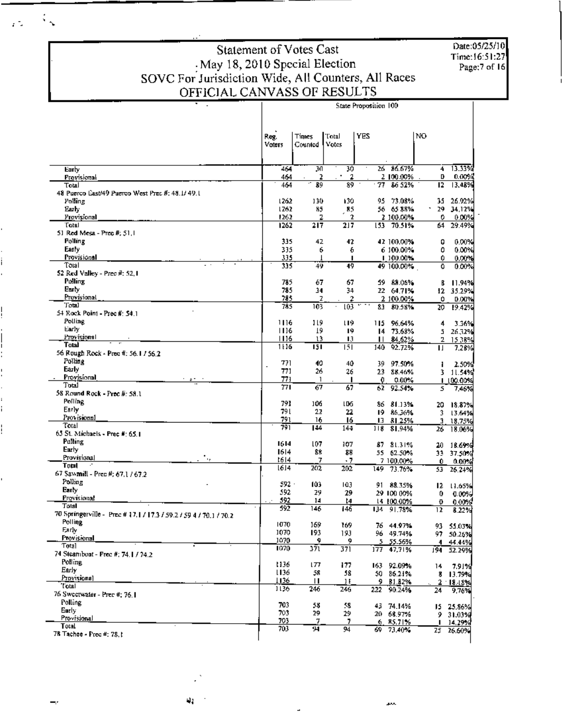$\tilde{\mathcal{N}}_{\infty}$ 

 $\mathbb{Z}^{\frac{1}{2}}$ 

Date:05/25/10 Time:16:51:27<br>Page:7 of 16

|                                                                   | State Proposition 100 |                    |           |          |                        |           |                        |
|-------------------------------------------------------------------|-----------------------|--------------------|-----------|----------|------------------------|-----------|------------------------|
|                                                                   |                       |                    |           |          |                        |           |                        |
|                                                                   | Reg.                  | Times              | Total     | YES      |                        | NO.       |                        |
|                                                                   | Voters                | Counted            | Votes     |          |                        |           |                        |
|                                                                   |                       |                    |           |          |                        |           |                        |
| Early                                                             | 464                   | 30                 | 30        | 26.      | 86.67%                 | 4.        | 13.33%                 |
| Provisional                                                       | 464                   | 2                  | 2         |          | 2 100.00%              | D         | 0.00%                  |
| Total<br>48 Puerco East/49 Puerco West Prec #: 48.1/ 49.1         | 464                   | 89                 | 89        | 77       | 86 52%                 | 12        | 13.48%                 |
| Polling                                                           | 1262                  | 130                | 130       | 95       | 73.08%                 | 35        | 26.92%                 |
| Eur.                                                              | 1262                  | 85                 | 85        |          | 56 6538%               | 29        | 34.12%                 |
| Provisional<br><b>Total</b>                                       | 1262<br>1262          | 2<br>217           | 2<br>217  | 153.     | 2 100,00%<br>70.51%    | 0<br>64   | 0.00%<br>29.49%        |
| 51 Red Mesa - Prec #; 51,1                                        |                       |                    |           |          |                        |           |                        |
| Polling                                                           | 335                   | 42                 | 42        |          | 42 100,00%             | 0         | 0.00%                  |
| Early<br>Provisional                                              | 335<br>335            | 6                  | 6<br>п    |          | 6 100.00%<br>1 100.00% | 0<br>0.   | 0.00%<br>0.00%         |
| Total                                                             | 335                   | 49                 | 49        |          | 49 100,00%             | ٥         | 0.00%                  |
| 52 Red Valley - Prec #: 52,1                                      |                       |                    |           |          |                        |           |                        |
| Polling<br>Early                                                  | 785<br>785            | 67<br>34           | 67<br>34  | 59.      | 53.06%<br>22 64.71%    | B<br>12.  | 11.94%<br>35.29%       |
| Provisional                                                       | 785                   | z                  | 2         |          | 2 100.00%              | ٥         | 0.00%                  |
| Total<br>54 Rock Point - Prec #: 54.1                             | 785                   | 103                | 103       | 83       | 80.58%                 | 20.       | 19.42%                 |
| Polling                                                           | 1116                  | 119                | U9        | 115      | 96.64%                 | 4         | 3.36%                  |
| Early                                                             | 1116                  | 19                 | 19        |          | 14 73.68%              | 5         | 26.32%                 |
| Provisional<br>Total                                              | 1116                  | 13                 | 13        | п        | 84.62%                 | 2         | 15.38%                 |
| 56 Rough Rock - Prec #: 56.1 / 56.2                               | 1116                  | 151                | 151       | 140      | 92.72%                 | п         | 7.28%                  |
| Polling                                                           | 771                   | 40                 | 40        | 39       | 97.50%                 |           | 2.50%                  |
| Early<br>Provisional                                              | 771                   | 26                 | 26        |          | 23 88.46%              | 3.        | 11.54%                 |
| Total                                                             | 771<br>ול             | 1<br>67            | 67        | 0        | $0.00\%$               |           | 1 100.00%              |
| 58 Round Rock - Prec #: 58.1                                      |                       |                    |           | 62.      | 92.54%                 | 5         | 746%                   |
| Polling<br>Enrly                                                  | 791                   | 106                | LDG       | 86.      | 81.13%                 | 20        | 18.87%                 |
| Provisional                                                       | 791<br>791            | 22<br>16           | 22<br>16  | 13.      | 19 86,36%              | 3<br>э.   | 13.64%                 |
| Total                                                             | 791                   | 144                | 144       | 118      | 81.25%<br>81.94%       | 26.       | 18.75%<br>18.06%       |
| 65 St. Michaels - Prec #: 65.1<br>Pulling                         |                       |                    |           |          |                        |           |                        |
| Early                                                             | 1614<br>1614          | 107<br>S8          | 107<br>88 | 87       | 81.31%                 | 20        | 18.69%                 |
| Provisional<br>٠.,                                                | 1614                  | 7                  | - 7       |          | 55 62.50%<br>7 100,00% | 33.<br>0. | 37.50%<br>0.00%        |
| Total<br>67 Sawmill - Prec #; 67,1 / 67,2                         | [6]4                  | 202                | 202       | 149      | 73.76%                 | 53.       | 26.24%                 |
| Polling                                                           | 592 -                 | 103                | 103       |          | 91 88.35%              |           |                        |
| Early                                                             | 592                   | 29                 | 29        |          | 29 100 00%             | 0.        | 12 11.65%<br>0.00%     |
| <b>Provisional</b><br>Total                                       | 592                   | 14                 | t4        |          | 14 100.00%             | Ð         | 0.00%                  |
| 70 Springerville - Prec # 17.1 / 17.3 / 59.2 / 59 4 / 70.1 / 70.2 | 592                   | 146                | 146       |          | 134 91.78%             | 12        | 8.22%                  |
| Polling                                                           | 1070                  | 169                | 169       |          | 76 44.97%              |           | 93 55.03%              |
| Early<br>Provisional                                              | 1070                  | 193                | 193       |          | 96 49.74%              |           | 97 50.26%              |
| Total                                                             | 1070<br>1070.         | 9<br>วริเ          | 9         |          | 5 55.56%               | 4.        | 44.44%                 |
| 74 Steambout - Prec #; 74, J / 74.2                               |                       |                    | 371       |          | 177 47,71%             | 194       | 52.29%                 |
| Polling<br>Early                                                  | 1136                  | ιπ                 | 177       |          | 163 92.09%             | 14        | 7.91%                  |
| Provisional                                                       | 1136<br>1136          | 58<br>$\mathbf{H}$ | 58        |          | 50 86.21%              | 8         | 13.79%                 |
| total                                                             | 1136                  | 246                | 11<br>246 | 9<br>222 | B1.82%<br>90.24%       | 24        | $2 - 18 + 8%$<br>9,76% |
| 76 Sweetwater - Prec #; 76.1<br>Polling                           |                       |                    |           |          |                        |           |                        |
| Early                                                             | 703<br>703            | 58.<br>29          | 58        |          | 43 74 14%              |           | 15 25.86%              |
| Provisional                                                       | 703                   | 7                  | 29<br>7   |          | 20 68.97%<br>6 85.71%  | п         | 9 31.03%<br>14,29%     |
| Total<br>78 Tachee - Prec #: 78.1                                 | 703                   | 94                 | 94        | 69.      | 71,40%                 | 25        | 26.60%                 |
|                                                                   |                       |                    |           |          |                        |           |                        |

41

لمعر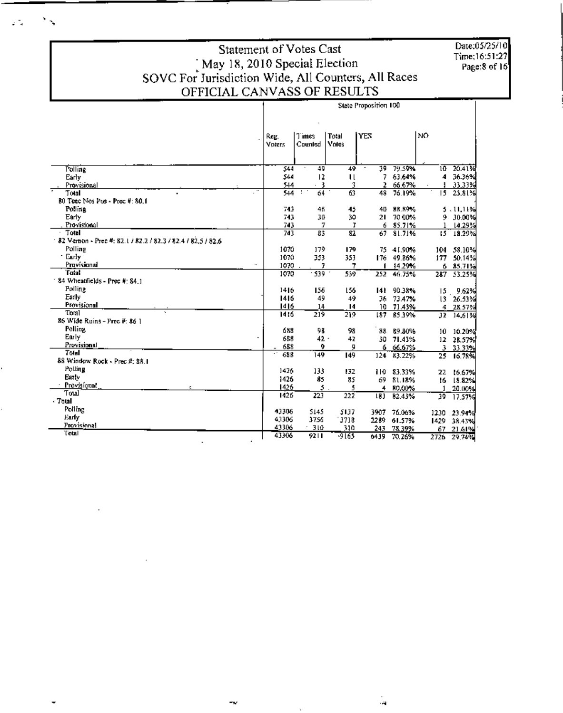Date:05/25/10 Time: 16:51:27<br>Page:8 of 16

# Statement of Votes Cast May 18, 2010 Special Election<br>SOVC For Jurisdiction Wide, All Counters, All Races<br>OFFICIAL CANVASS OF RESULTS

٠.,

УŇ,

|                                                             | State Proposition 100 |                  |                 |       |         |                 |            |
|-------------------------------------------------------------|-----------------------|------------------|-----------------|-------|---------|-----------------|------------|
|                                                             | Reg.<br>Voters        | Times<br>Counted | Total<br>Votes  | i YES |         | NO.             |            |
| <b>Polling</b>                                              | 544                   | 49               | 49              | 39    | 79.59%  | 10              | 20.41%     |
| Early                                                       | 544                   | 12               | $\mathbf{H}$    | 7     | 63.64%  | 4               | 36.36%     |
| Provisional                                                 | 544                   | - 3              | 3               | 2     | 66.67%  | E               | 33.33%     |
| Total                                                       | 544                   | 64<br>÷          | 63              | 48    | 76.19%  | 15              | 23.81%     |
| 80 Teec Nos Pus - Prec #: 80.1                              |                       |                  |                 |       |         |                 |            |
| Polling                                                     | 743                   | 46               | 45              | 40    | 88.89%  |                 | 5, 11, 11% |
| Early                                                       | 743                   | 30               | 30              | 21    | 70 00%  | 9               | 30.00%     |
| Provisional                                                 | 743                   | 7                | Ţ               | 6.    | 85.71%  |                 | 14.29%     |
| Total                                                       | 743                   | 83               | $\overline{32}$ | 67.   | 81.71%  | 15.             | 18.29%     |
| 82 Vernon - Prec #: 82.1 / 82.2 / 82.3 / 82.4 / 82.5 / 82.6 |                       |                  |                 |       |         |                 |            |
| Polling                                                     | 1070                  | 179              | 179             | 75.   | -41.90% | 104             | 58.10%     |
| - Carly                                                     | 1070                  | 353              | 353             | 176   | 49.86%  | 177             | 50.14%     |
| Provisional                                                 | 1070                  | 7                | 7               |       | 14.29%  |                 | 5 85.71%   |
| Total                                                       | 1070                  | $-539 -$         | 559             | 252   | 46.75%  | 287             | 53.25%     |
| 84 Wheatfields - Prec #: 84.1                               |                       |                  |                 |       |         |                 |            |
| <b>Polling</b>                                              | 1416                  | 156              | 156             | 141   | 90.38%  | 15              | 9.62%      |
| Early                                                       | 1416                  | 49               | 49              | 36    | 73.47%  | $\mathbf{13}$   | 26.53%     |
| Provisional                                                 | 1416                  | 14               | 14              | 10    | 71.43%  |                 | 4 28.57%   |
| Toral                                                       | 1416                  | 219              | 219             | 187   | 85.39%  | 32.             | 14,61%     |
| $86$ Wide Ruins - Prec #: $86$ 1                            |                       |                  |                 |       |         |                 |            |
| Polling                                                     | 688                   | 98               | 98              | 88    | 89.80%  | 10              | 10.20%     |
| Early                                                       | 688                   | 42 -             | 42              | 30    | 71.43%  | 12 <sup>2</sup> | 28.57%     |
| Provisional                                                 | 688                   | 9                | g               | 6     | 66.67%  | 3               | 33.33%     |
| Total                                                       | 688                   | 149              | 149             | 124   | 83.22%  | 25              | 16.78%     |
| 88 Window Rock - Prec #: 88.1                               |                       |                  |                 |       |         |                 |            |
| Polling                                                     | 1426                  | 133              | 132             | 110   | 83.33%  | 22              | 16.67%     |
| Early                                                       | 1426                  | 85               | 85              | 69    | 81.18%  | 16              | 18.82%     |
| Provisional                                                 | 1426                  | $5$ .            | 5               | 4     | 80,00%  |                 | 20.00%     |
| Total                                                       | 1426                  | 223              | 222             | 183   | 82.43%  | 39.             | 17.57%     |
| - Total                                                     |                       |                  |                 |       |         |                 |            |
| Polling                                                     | 43306                 | 5145             | 5137            | 3907  | 76.06%  | 1230            | 23.94%     |
| Early                                                       | 43306                 | 3756             | 13718           | 2289  | 61.57%  | 1429            | 38.43%     |
| Provisional                                                 | 43306                 | 310              | 310             | 243   | 78.39%  | 67              | 21.61%     |
| Total                                                       | 43306                 | 9211             | $-9165$         | 6439  | 70.26%  | 2726            | 29.74%     |

 $\ddot{\phantom{a}}$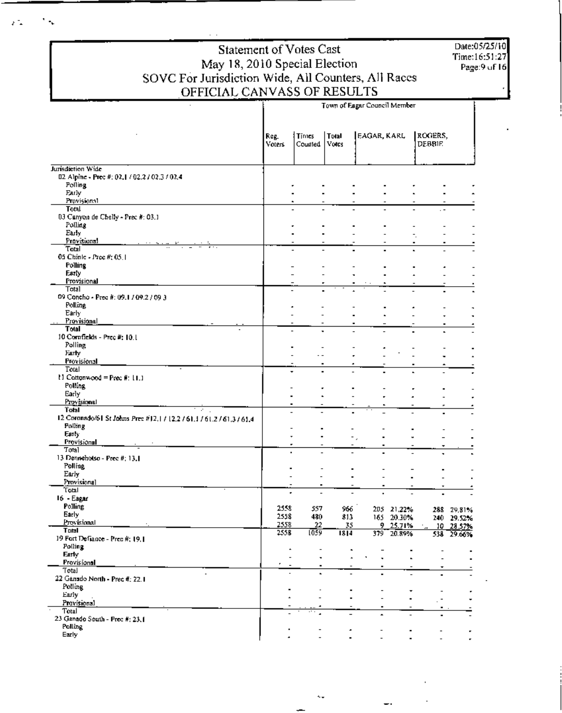Statement of Votes Cast Date:05/25/10  $Time:16:51:27$ May 18, 2010 Special Election Page:9 of 16 SOVC For Jurisdiction Wide, All Counters, All Races OFFICIAL CANVASS OF RESULTS Town of Eagar Council Member ROGERS. Times Total **EAGAR, KARL** Reg. DEBBIE ......<br>Voters Counted Votes Jurisdiction Wide 02 Alpine - Prec #: 02.1 / 02.2 / 02.3 / 02.4 Polling Farly Provisional **Total** 03 Canyon de Chelly - Prec #: 03.1 Polling Early  $\overline{a}$ ÷, Provisional Total 05 Chinle - Pree #; 05.1 Polling  $\overline{a}$  $\overline{a}$ Ĭ. L. Early Ĭ.  $\tilde{\phantom{a}}$  $\overline{a}$  $\overline{\phantom{a}}$ Provisional Total 09 Concho - Prec #: 09.1 / 09.2 / 09.3 Polling Early ä, l.  $\overline{a}$  $\overline{a}$ Provisional Total 10 Comfields - Prec #: 10.1 Polling ÷. l, ×  $\overline{a}$  $\overline{a}$ Early Provisional Total 11 Cottonwood = Prec #: 11.1 Polling Early Ĭ. ł.  $\overline{a}$ ÷, Provisional TalaT 12 Coronado/61 St Johns Prec #12,1 / 12.2 / 61.1 / 61.2 / 61.3 / 61.4 Polling Early  $\overline{a}$ Provisional Total 13 Dennehotso - Prec #; 13.1 Polling Early l, Provisional **Total**  $\overline{a}$ 16 - Eagar Polling 2558 557 205 21.22% 966 288 29,81% **Early** 2558 480 813 240 29.52% 165 20.30% Provisional 28.57% 2558  $_{22}$ 35 9 25.71% 10 Total 2558 ত্ত্যে छाँने 379 20.89% 538 29.66% 19 Fort Defiance - Prec #; 19.1 **Polling** Early  $\overline{a}$ ÷.  $\mathbf{r}$  $\ddot{\phantom{a}}$ L. Provisional Total l. 22 Ganado North - Prec #: 22.1 Polling ä, ÷, ÷  $\overline{a}$  $\overline{a}$ Early L. J.  $\overline{a}$  $\blacksquare$ ÷ Provisional Total<sup>-</sup> 23 Ganado South - Prec #: 23.1 Polling  $\overline{a}$ Early

44

٠.,

 $\mathbb{Z}^2$  .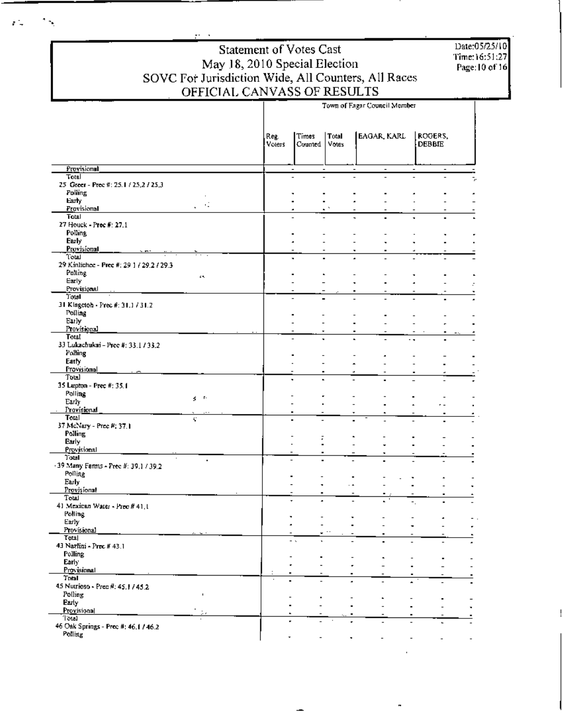$\mathcal{L}^{\mathcal{L}}$ 

Date:05/25/10 Time:  $16:51:27$ Page: 10 of 16

|                                                    |                | Town of Eagar Council Member |                                  |                          |                                                      |                                                      |  |  |  |
|----------------------------------------------------|----------------|------------------------------|----------------------------------|--------------------------|------------------------------------------------------|------------------------------------------------------|--|--|--|
|                                                    |                |                              |                                  |                          |                                                      |                                                      |  |  |  |
|                                                    |                | Reg.<br>Voters               | Times<br>Counted                 | Total<br>Votes           | <b>EAGAR, KARL</b>                                   | ROGERS,<br><b>DEBBIE</b>                             |  |  |  |
| Provisional                                        |                |                              | $\overline{\phantom{a}}$         | $\overline{\phantom{a}}$ | $\overline{\phantom{a}}$<br>$\overline{\phantom{a}}$ | $\overline{\phantom{a}}$<br>$\overline{\phantom{a}}$ |  |  |  |
| Total                                              |                |                              |                                  |                          | $\overline{a}$                                       | $\overline{\phantom{0}}$                             |  |  |  |
| 25 Green - Prec #: 25.1 / 25,2 / 25,3              |                |                              |                                  |                          |                                                      |                                                      |  |  |  |
| <b>Polling</b><br>Early                            |                |                              |                                  |                          |                                                      |                                                      |  |  |  |
| Provisional                                        | χż<br>k.       |                              | ٠                                |                          | $\overline{\phantom{0}}$                             |                                                      |  |  |  |
| <b>Total</b>                                       |                |                              |                                  |                          | ,                                                    |                                                      |  |  |  |
| 27 Houck - Prec F: 27.1<br>Polling                 |                |                              |                                  |                          |                                                      |                                                      |  |  |  |
| Early                                              |                |                              |                                  |                          |                                                      |                                                      |  |  |  |
| Provisional                                        |                |                              |                                  |                          | ٠<br>$\blacksquare$                                  |                                                      |  |  |  |
| Total<br>29 Kinlichee - Prec #; 29 1 / 29.2 / 29.3 |                |                              | $\blacksquare$                   |                          |                                                      |                                                      |  |  |  |
| Polling                                            |                |                              |                                  |                          |                                                      |                                                      |  |  |  |
| Early                                              | c.             |                              |                                  |                          |                                                      | ٠                                                    |  |  |  |
| Provisional<br>Total                               |                |                              |                                  |                          | $\blacksquare$                                       |                                                      |  |  |  |
| 31 Klagetoh - Prec #: 31.1 / 31.2                  |                |                              |                                  |                          |                                                      |                                                      |  |  |  |
| Polling                                            |                |                              |                                  |                          |                                                      |                                                      |  |  |  |
| Early<br>Provisional                               |                |                              |                                  |                          |                                                      |                                                      |  |  |  |
| Total                                              |                |                              | $\overline{a}$                   | ٠                        |                                                      |                                                      |  |  |  |
| 33 Lukachukai - Pree #: 33.1 / 33.2                |                |                              |                                  |                          |                                                      | ٠.                                                   |  |  |  |
| Polling                                            |                |                              |                                  |                          |                                                      |                                                      |  |  |  |
| Early<br>Provisional                               |                |                              |                                  |                          | ٠.                                                   |                                                      |  |  |  |
| Total                                              |                |                              | ٠                                |                          | ٠<br>$\overline{\phantom{a}}$                        | ٠                                                    |  |  |  |
| 35 Lupton - Prec #: 35.1                           |                |                              |                                  |                          |                                                      |                                                      |  |  |  |
| Polling<br>Early                                   | 多少             |                              |                                  |                          |                                                      |                                                      |  |  |  |
| Provisional                                        |                |                              | $\blacksquare$                   |                          | $\overline{a}$<br>$\blacksquare$<br>٠                | $\hat{\textbf{r}}$<br>. .                            |  |  |  |
| Total                                              | ¢              |                              | $\overline{a}$                   |                          |                                                      | $\overline{a}$                                       |  |  |  |
| 37 McNary - Prec #; 37.1<br>Polling                |                |                              |                                  |                          |                                                      |                                                      |  |  |  |
| Early                                              |                |                              | $\blacksquare$                   |                          |                                                      |                                                      |  |  |  |
| Provisional                                        |                |                              |                                  |                          |                                                      |                                                      |  |  |  |
| Total<br>-39 Many Farms - Prec #: 39,1 / 39.2      | $\blacksquare$ |                              | $\overline{a}$<br>$\blacksquare$ |                          |                                                      |                                                      |  |  |  |
| Polling                                            |                |                              |                                  |                          |                                                      |                                                      |  |  |  |
| Early                                              |                |                              |                                  | . .                      |                                                      |                                                      |  |  |  |
| Provisional<br>Total                               |                |                              |                                  |                          |                                                      |                                                      |  |  |  |
| 41 Mexican Water - Prec # 41,1                     |                |                              | ٠                                |                          |                                                      | ۰.                                                   |  |  |  |
| Polling                                            |                |                              |                                  |                          |                                                      |                                                      |  |  |  |
| Early<br>Provisional                               |                |                              |                                  |                          |                                                      |                                                      |  |  |  |
| Total                                              |                |                              | ۰                                |                          |                                                      |                                                      |  |  |  |
| 43 Nazlini - Prec # 43.1                           |                |                              | $ \sim$                          |                          |                                                      |                                                      |  |  |  |
| Polling                                            |                |                              |                                  |                          |                                                      |                                                      |  |  |  |
| Early<br>Provisional                               |                |                              |                                  |                          |                                                      |                                                      |  |  |  |
| Trital                                             |                |                              |                                  | ٠                        |                                                      | ÷                                                    |  |  |  |
| 45 Nutrioso - Prec #: 45,1 / 45.2                  |                |                              |                                  |                          |                                                      |                                                      |  |  |  |
| Polling<br>Early                                   | $\blacksquare$ |                              |                                  |                          |                                                      |                                                      |  |  |  |
| Provisional                                        | þ,             |                              |                                  |                          |                                                      |                                                      |  |  |  |
| Total                                              |                |                              |                                  |                          |                                                      | $\blacksquare$                                       |  |  |  |
| 46 Oak Springs - Prec #: 46.1 / 46.2<br>Polling    |                |                              |                                  |                          |                                                      |                                                      |  |  |  |
|                                                    |                |                              |                                  |                          |                                                      |                                                      |  |  |  |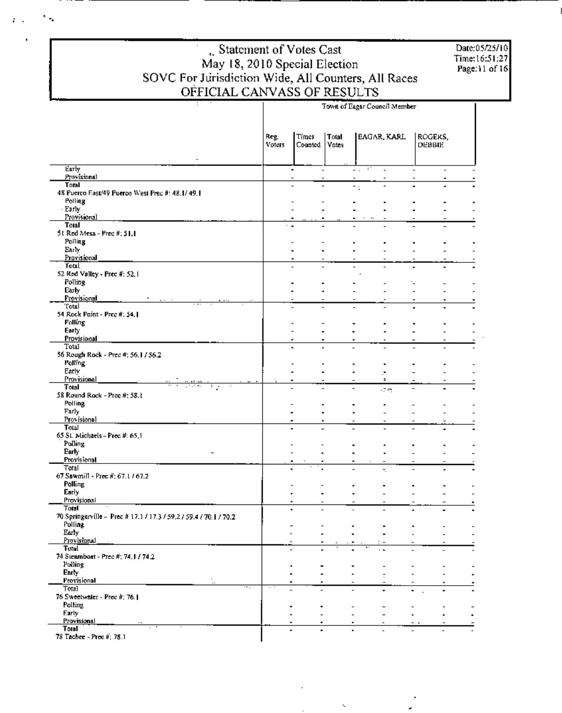٠.

Date:05/25/10 Time: 16:51:27<br>Page: 11 of 16

| ÷                                                                                   |                | Town of Eagar Council Member     |                          |                                                       |                                                      |  |  |  |
|-------------------------------------------------------------------------------------|----------------|----------------------------------|--------------------------|-------------------------------------------------------|------------------------------------------------------|--|--|--|
|                                                                                     |                |                                  |                          |                                                       |                                                      |  |  |  |
|                                                                                     | Reg.<br>Voters | Times<br>Counted                 | Total<br>Votes           | <b>EAGAR, KARL</b>                                    | ROGERS,<br><b>DEBBIE</b>                             |  |  |  |
| <b>Early</b>                                                                        |                |                                  | $\overline{\phantom{0}}$ | $\cdot$<br>$\overline{\phantom{a}}$<br>$\overline{a}$ | $\overline{a}$                                       |  |  |  |
| Provisional                                                                         |                |                                  | $\overline{a}$           |                                                       |                                                      |  |  |  |
| Total<br>48 Puerco Flast/49 Puerco West Prec #: 48.1/ 49.1                          |                |                                  | $\overline{a}$           | F.                                                    |                                                      |  |  |  |
| Polling<br>- Early                                                                  |                |                                  |                          |                                                       |                                                      |  |  |  |
| Provisional                                                                         |                |                                  |                          | $\cdot$                                               |                                                      |  |  |  |
| Total<br>51 Red Mess - Prec #: 51.1<br><b>Polling</b>                               | $\cdot$        | $\blacksquare$                   | $\overline{a}$           | $\overline{a}$<br>$\overline{a}$                      | $\overline{a}$                                       |  |  |  |
| Early                                                                               |                |                                  |                          |                                                       |                                                      |  |  |  |
| Provisional                                                                         |                | ٠                                |                          |                                                       |                                                      |  |  |  |
| Total<br>52 Red Valley - Prec #: 52.1<br>Polling                                    |                |                                  |                          |                                                       |                                                      |  |  |  |
| Early                                                                               |                |                                  |                          |                                                       |                                                      |  |  |  |
| <b>Provisional</b>                                                                  |                |                                  |                          |                                                       |                                                      |  |  |  |
| <b>Total</b><br>54 Rock Point - Prec #: 54.1                                        |                |                                  |                          |                                                       |                                                      |  |  |  |
| <b>Polling</b>                                                                      |                |                                  |                          |                                                       |                                                      |  |  |  |
| Early<br>Provisional                                                                |                |                                  |                          |                                                       | $\tilde{\phantom{a}}$                                |  |  |  |
| Total                                                                               |                | $\blacksquare$                   | ٠<br>$\hat{\mathbf{r}}$  | ٠<br>$\overline{a}$<br>$\overline{\phantom{0}}$       | $\overline{\phantom{a}}$<br>$\overline{\phantom{a}}$ |  |  |  |
| 56 Rough Rock - Prec #; 56,1 / 56.2                                                 |                |                                  |                          |                                                       |                                                      |  |  |  |
| Polling<br>Early                                                                    |                |                                  | ٠                        |                                                       |                                                      |  |  |  |
| Provisional                                                                         |                |                                  |                          | $\blacksquare$<br>÷                                   |                                                      |  |  |  |
| Total<br>7. p                                                                       |                |                                  |                          | $\overline{\phantom{0}}$<br>сh,                       |                                                      |  |  |  |
| 58 Round Rock - Prec #: 58.1<br>Polling                                             |                |                                  |                          |                                                       |                                                      |  |  |  |
| Early                                                                               |                |                                  |                          |                                                       |                                                      |  |  |  |
| Provisional                                                                         |                | $\blacksquare$                   | $\blacksquare$           |                                                       |                                                      |  |  |  |
| Total<br>65 St. Michaels - Prec #: 65.1<br>Polling                                  |                | ٠                                | $\overline{\phantom{0}}$ |                                                       |                                                      |  |  |  |
| <b>Early</b>                                                                        |                |                                  |                          | $\blacksquare$                                        |                                                      |  |  |  |
| Provisional<br>Total                                                                |                |                                  |                          | $\blacksquare$<br>٠                                   | $\overline{\phantom{0}}$<br>$\overline{\phantom{0}}$ |  |  |  |
| 67 Sawmill - Prec #: 67.1 / 67.2<br>Polling                                         |                |                                  |                          | ÷.                                                    |                                                      |  |  |  |
| Early                                                                               |                |                                  |                          |                                                       |                                                      |  |  |  |
| Provisional<br>Total                                                                |                | $\overline{a}$<br>$\blacksquare$ |                          | $\overline{a}$<br>$\overline{\phantom{a}}$            | ٠                                                    |  |  |  |
| 70 Springerville - Prec # 17.1 / 17.3 / 59.2 / 59.4 / 70.1 / 70.2<br><b>Polling</b> |                |                                  |                          |                                                       |                                                      |  |  |  |
| Early                                                                               |                |                                  |                          |                                                       |                                                      |  |  |  |
| Provisional<br>Total                                                                |                |                                  |                          |                                                       |                                                      |  |  |  |
| 74 Steamboat - Prec #; 74,1 / 74.2<br>Polling                                       |                |                                  |                          |                                                       |                                                      |  |  |  |
| Early<br>Provisional                                                                |                | $\blacksquare$                   |                          | ÷                                                     |                                                      |  |  |  |
| Total                                                                               | н.             |                                  |                          | ٠                                                     |                                                      |  |  |  |
| 76 Sweetwater - Prec #; 76.1                                                        |                |                                  |                          |                                                       |                                                      |  |  |  |
| Polling<br>Early                                                                    |                |                                  |                          |                                                       |                                                      |  |  |  |
| Provisional                                                                         |                |                                  |                          |                                                       |                                                      |  |  |  |
| Total                                                                               |                |                                  |                          |                                                       |                                                      |  |  |  |
| 78 Tachee - Prec #; 78.1                                                            |                |                                  |                          |                                                       |                                                      |  |  |  |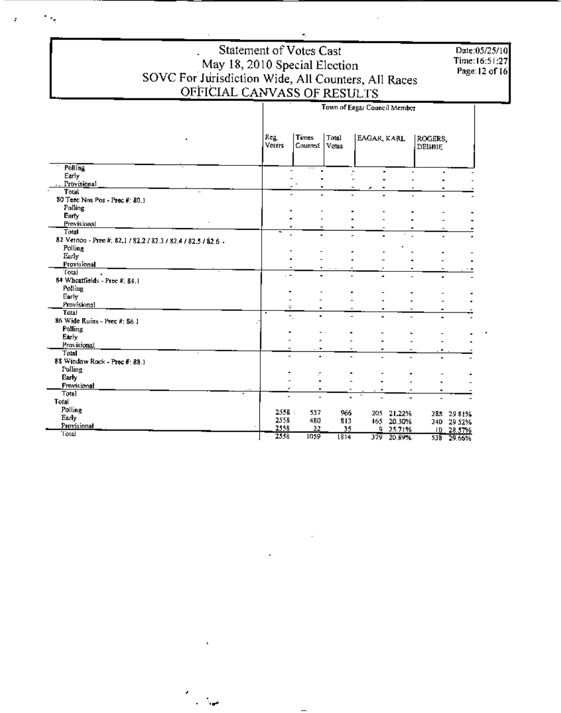٠.

Date:05/25/10<br>Time:16:51:27<br>Page:12 of 16

|                                                                          |                |                         |                | Town of Eagar Council Member |                          |                   |            |
|--------------------------------------------------------------------------|----------------|-------------------------|----------------|------------------------------|--------------------------|-------------------|------------|
|                                                                          | Reg.<br>Voters | <b>Times</b><br>Counted | Total<br>Votes | EAGAR, KARL                  |                          | ROGERS,<br>DEBBIE |            |
| Polling                                                                  |                |                         |                |                              | ÷                        |                   |            |
| Early                                                                    |                |                         |                |                              |                          |                   |            |
| Provisional                                                              |                | ٠                       |                |                              |                          |                   |            |
| Total<br>                                                                |                |                         | $\blacksquare$ |                              |                          |                   |            |
| 80 Teed Nos Pos - Prec #: 80.1                                           |                |                         |                |                              |                          |                   |            |
| Polling                                                                  |                |                         |                |                              |                          |                   |            |
| Earty                                                                    |                |                         |                |                              |                          |                   |            |
| Provisional                                                              |                |                         |                |                              |                          |                   |            |
| Total                                                                    |                |                         |                |                              |                          |                   |            |
| 82 Vernon - Prec #; 82,1 / 82,2 / 82,3 / 82,4 / 82,5 / 82,6 -<br>Polling |                |                         |                |                              |                          |                   |            |
| Eurly                                                                    |                |                         |                |                              |                          |                   |            |
| Provisional                                                              |                |                         |                |                              |                          |                   |            |
| Total                                                                    |                |                         |                |                              |                          |                   |            |
| 84 Wheatfields - Pree #: 84.1                                            | $\overline{a}$ | $\blacksquare$          |                | $\blacksquare$               |                          |                   |            |
| Polling                                                                  |                |                         |                |                              |                          |                   |            |
| Early                                                                    |                |                         |                |                              |                          |                   |            |
| Provisional                                                              | Ч              | $\blacksquare$          |                |                              |                          |                   |            |
| Total                                                                    |                | ۰.<br>$\blacksquare$    |                | $\blacksquare$<br>×          |                          | ٠                 |            |
| 86 Wide Ruins - Prec #: 86.1                                             |                |                         |                |                              |                          |                   |            |
| Polling                                                                  |                |                         |                |                              |                          |                   |            |
| Early                                                                    |                |                         |                |                              |                          |                   |            |
| Provisional                                                              |                | ٠                       |                | ٠                            |                          |                   |            |
| Total                                                                    |                | ٠                       |                | $\overline{a}$               | $\overline{\phantom{a}}$ |                   |            |
| 88 Window Rock - Prec #: 88.1                                            |                |                         |                |                              |                          |                   |            |
| Polling                                                                  |                | ŕ.                      |                |                              |                          |                   |            |
| Early                                                                    |                |                         |                |                              |                          |                   |            |
| Provisional<br>Total                                                     |                |                         |                |                              |                          |                   |            |
| Total                                                                    |                |                         |                |                              |                          |                   |            |
| Polling                                                                  |                |                         |                |                              |                          |                   |            |
| Early                                                                    | 2558 -         | 557                     | 966            | 205                          | 21.22%                   | 283.              | 2981%      |
| Provisional                                                              | 2558           | 48Q                     | 813            | 165                          | 20.30%                   |                   | 240 29 52% |
| Total                                                                    | 2558<br>2558   | 22                      | 35             | 9.                           | 25.71%                   |                   | 10 28.57%  |
|                                                                          |                | 1059                    | 1814           |                              | 379 20.89%               |                   | 538 29.66% |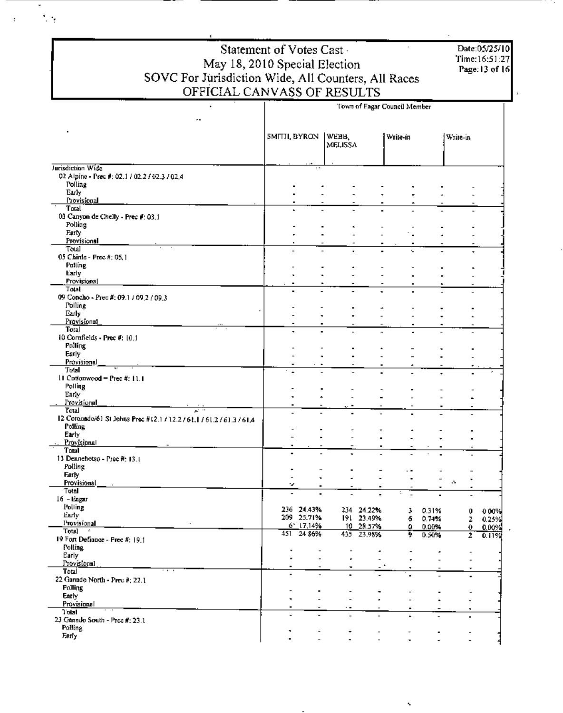$\ddot{\phantom{a}}$ 

Date:05/25/10 Time:16:51:27<br>Page:13 of 16

|                                                                       | Town of Eagar Council Member |                           |               |            |          |       |          |       |
|-----------------------------------------------------------------------|------------------------------|---------------------------|---------------|------------|----------|-------|----------|-------|
|                                                                       |                              |                           |               |            |          |       |          |       |
|                                                                       | <b>SMITH, BYRON</b>          |                           | <b>WEBB</b> , |            | Write-in |       | Write-in |       |
|                                                                       |                              |                           | MELISSA       |            |          |       |          |       |
| Jurisdiction Wide                                                     |                              |                           |               |            |          |       |          |       |
| 02 Alpine - Prec #: 02.1 / 02.2 / 02.3 / 02.4                         |                              |                           |               |            |          |       |          |       |
| Polling                                                               |                              |                           |               |            |          |       |          |       |
| Early<br>Provisional                                                  |                              |                           |               |            |          |       |          |       |
| Total                                                                 |                              |                           |               |            |          |       |          |       |
| 03 Canyon de Chelly - Prec #: 03.1<br>Polling                         |                              |                           |               |            |          |       |          |       |
| Farty                                                                 |                              |                           |               |            |          |       |          |       |
| Provisional                                                           |                              |                           |               |            |          |       |          |       |
| Total<br>05 Chinle - Prec #; 05,1                                     |                              |                           |               |            |          |       |          |       |
| Polling                                                               |                              |                           |               |            |          |       |          |       |
| Early                                                                 |                              |                           |               |            |          |       |          |       |
| Provisional<br>Total                                                  |                              |                           |               |            |          |       |          |       |
| 09 Concho - Prec #: 09.1 / 09.2 / 09.3                                |                              |                           |               |            |          |       |          |       |
| Polling<br>Early                                                      |                              |                           |               |            |          |       |          |       |
| Provisional                                                           |                              | ٠                         |               |            |          |       |          |       |
| Total                                                                 |                              |                           |               |            |          |       |          |       |
| 10 Cornfields - Prec #: 10.1<br>Polling                               |                              |                           |               |            |          |       |          |       |
| Early                                                                 |                              |                           |               |            |          |       |          |       |
| Provisional                                                           |                              |                           |               |            |          |       |          |       |
| Total<br>LI Cotionwood = Prec #: 11.1                                 |                              |                           |               |            |          |       |          |       |
| Polling                                                               |                              |                           |               |            |          |       |          |       |
| Early                                                                 |                              |                           |               |            |          |       |          |       |
| Provisional<br>Total<br>د د                                           |                              |                           |               |            |          |       |          |       |
| 12 Coronado/61 St Johns Prec #12.1 / 12.2 / 61.1 / 61.2 / 61.3 / 61.4 |                              |                           |               |            |          |       |          |       |
| Polling                                                               |                              |                           |               |            |          |       |          |       |
| Early<br>Provisional                                                  |                              |                           |               |            |          |       |          |       |
| Total                                                                 |                              |                           |               |            |          |       |          |       |
| 13 Dennehotso - Prec #: 13.1<br>Polling                               |                              |                           |               |            |          |       |          |       |
| Farly                                                                 |                              |                           |               |            |          |       |          |       |
| Provisional                                                           | u.                           |                           |               |            |          |       | A.       |       |
| Total<br>16 - Engar                                                   |                              |                           |               |            |          |       |          |       |
| Polling                                                               |                              | 236 24.43%                |               | 234 24.22% | з        | 0.31% | 0        | 0.00% |
| Early.                                                                |                              | 209 25.71%                |               | 191 23.49% | 6        | 0.74% | 2        | 0.25% |
| Provisional<br>Total<br>$\Delta$                                      |                              | $6'$ 17,14%<br>451 24 86% |               | 10 28.57%  | 0        | 0.00% | 0        | 0.00% |
| 19 Fort Definnce - Prec #: 19.1                                       |                              |                           |               | 435 23,98% | 9        | 0.50% | 2        | 0.11% |
| Polling<br>Early                                                      |                              | $\overline{a}$            |               |            |          |       |          |       |
| Provisional                                                           |                              |                           |               |            |          |       |          |       |
| Total<br>. .                                                          | ٠                            | $\overline{a}$            | ۰             |            |          |       |          |       |
| 22 Ganado North - Prec #; 22,1<br>Polling                             |                              |                           |               |            |          |       |          |       |
| Early                                                                 |                              |                           |               |            |          |       |          |       |
| Provisional                                                           |                              |                           | ٠.            |            |          |       |          |       |
| Total<br>23 Ganado South - Prec #: 23.1                               |                              |                           |               |            | ×.       |       |          |       |
| <b>Polling</b>                                                        |                              |                           |               |            |          |       |          |       |
| Farly                                                                 |                              |                           |               |            |          |       |          |       |

ĺ,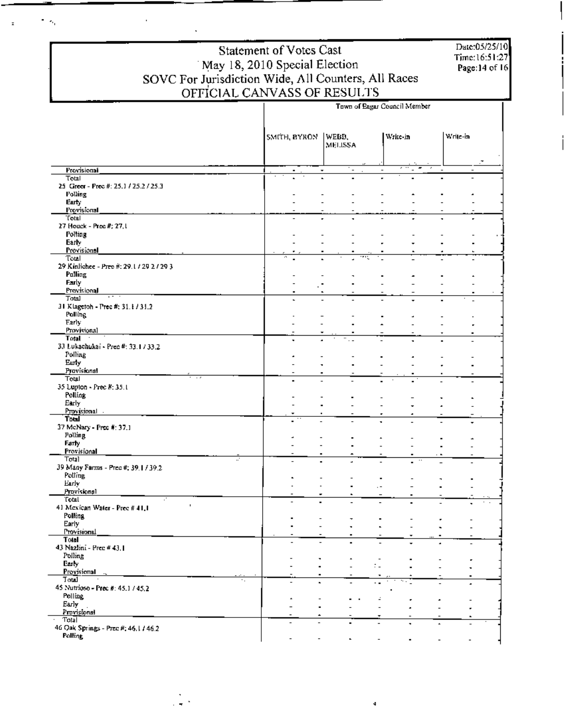Date:05/25/10 Time:16:51:27 Page: 14 of 16

#### Statement of Votes Cast May 18, 2010 Special Election SOVC For Jurisdiction Wide, All Counters, All Races OFFICIAL CANVASS OF RESULTS

t sy

 $\bar{\mathbf{z}}$ 

Town of Eagar Council Member WEBD. Write-in Write-in SMITH, BYRON MELISSA **Provisional** Total 25 Green - Prec #: 25.1 / 25.2 / 25.3 Polling Ĭ.  $\overline{a}$  $\overline{a}$  $\overline{a}$ Earty. Provisional Total 27 Houck - Prec #; 27,1 Polling Early  $\overline{a}$ l, ٠ Provisional Total н. 29 Kinlichee - Prec #: 29.1 / 29 2 / 29 3 Polling  $\overline{a}$ l, Ĭ. Farly ł. Provisional Total 31 Klagetoh - Prec #: 31.1 / 31.2 Polling Early ÷  $\tilde{\phantom{a}}$ ÷, l, Provisional Total 33 Lukachukai - Pren #: 33.1733.2 Polling  $\overline{a}$ l, i, Eurly l, . Provisional Total 35 Lupton - Prec #: 35.1 Polling L, Early  $\overline{a}$  $\blacksquare$  $\overline{a}$ ÷, ٠ ×  $\overline{a}$ Provisional Total 37 McNary - Prec #: 37.1 **Polling**  $\overline{a}$  $\blacksquare$ ٠  $\blacksquare$  $\tilde{\phantom{a}}$ Early L.  $\blacksquare$ Provisional **Total** 39 Many Farms - Prec #: 39.1 / 39.2 Polling L. Ĭ, Early  $\overline{\phantom{a}}$  $\blacksquare$  $\ddot{\phantom{1}}$  $\overline{\phantom{a}}$ ä,  $\overline{a}$ **Provisional** Total ł, ÷, Ĭ. ÷, ï 41 Mexican Water - Prec # 41.1 Polling Ĭ. l, Į, .  $\overline{\phantom{a}}$ .  $\overline{\phantom{a}}$ Early Ĭ. Ĭ. ×, L,  $\overline{a}$ L **Provisional Total**  $\overline{a}$ l,  $\overline{a}$ × 43 Nazlini - Prec # 43,1 Polling  $\overline{a}$ ÷. Early  $\overline{a}$  $\mathbb{Z}^n$  .  $\blacksquare$  $\overline{a}$  $\blacksquare$  $\overline{\phantom{a}}$ <u>Provisional</u> Total  $\overline{a}$  $\overline{\phantom{m}}$ ٠ 45 Nutrioso - Prec #: 45.1 / 45.2 Polling  $\overline{a}$  $\overline{a}$  $\overline{\phantom{a}}$ . . ٠  $\overline{a}$ Early  $\overline{a}$  $\overline{a}$ ÷, ٠ Provisional **Total** ÷.  $\overline{a}$ 46 Oak Springs - Prec #: 46.1 / 46.2 Polling

ă

 $\blacksquare$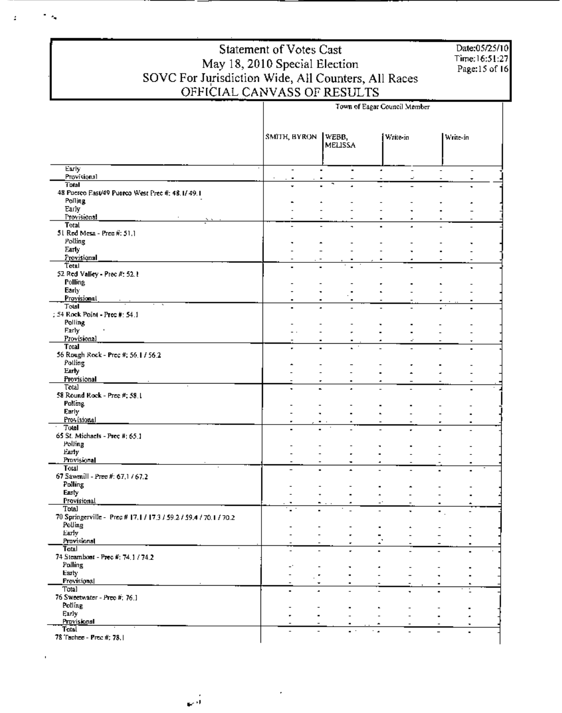$\gamma_{\rm m}$ 

ă.

Date:05/25/10 Time: 16:51:27<br>Page: 15 of 16

|                                                                            | Town of Eagar Council Member                         |                  |                               |                                                 |  |  |  |  |  |  |
|----------------------------------------------------------------------------|------------------------------------------------------|------------------|-------------------------------|-------------------------------------------------|--|--|--|--|--|--|
|                                                                            | SMITH, BYRON                                         | WEBB,<br>MELISSA | Write-in                      | Write-in                                        |  |  |  |  |  |  |
| Early                                                                      |                                                      |                  |                               |                                                 |  |  |  |  |  |  |
| Provisional                                                                | ٠                                                    |                  | ٠<br>$\overline{\phantom{a}}$ | $\overline{a}$<br>$\overline{\phantom{0}}$<br>٠ |  |  |  |  |  |  |
| Total                                                                      |                                                      |                  |                               |                                                 |  |  |  |  |  |  |
| 48 Puerco East/49 Puerco West Prec #: 48.1/ 49.1<br>Polling                |                                                      |                  |                               |                                                 |  |  |  |  |  |  |
| Early                                                                      |                                                      |                  |                               |                                                 |  |  |  |  |  |  |
| Provisional<br>Total                                                       |                                                      |                  |                               |                                                 |  |  |  |  |  |  |
| 51 Red Mesa - Prec #: 51,1                                                 |                                                      | $\overline{ }$   |                               | $\overline{a}$                                  |  |  |  |  |  |  |
| Polling                                                                    |                                                      |                  |                               |                                                 |  |  |  |  |  |  |
| Early<br>Provisional                                                       |                                                      |                  |                               |                                                 |  |  |  |  |  |  |
| Total                                                                      |                                                      |                  |                               |                                                 |  |  |  |  |  |  |
| 52 Red Valley - Prec #: 52.1                                               |                                                      |                  |                               |                                                 |  |  |  |  |  |  |
| Polling<br><b>Early</b>                                                    |                                                      |                  |                               |                                                 |  |  |  |  |  |  |
| Provisional                                                                | $\blacksquare$<br>$\blacksquare$                     | $\blacksquare$   |                               |                                                 |  |  |  |  |  |  |
| Tetal<br>: 54 Rock Point - Prec #: 54.1                                    |                                                      |                  |                               |                                                 |  |  |  |  |  |  |
| Polling                                                                    |                                                      |                  |                               |                                                 |  |  |  |  |  |  |
| Early                                                                      |                                                      |                  |                               |                                                 |  |  |  |  |  |  |
| Provisional<br>Total                                                       | $\blacksquare$                                       |                  | z                             | ٠                                               |  |  |  |  |  |  |
| 56 Rough Rock - Prec #: 56.1 / 56.2                                        |                                                      |                  |                               |                                                 |  |  |  |  |  |  |
| Polling<br>Early                                                           |                                                      |                  |                               |                                                 |  |  |  |  |  |  |
| Provisional                                                                |                                                      |                  |                               |                                                 |  |  |  |  |  |  |
| Total                                                                      | $\blacksquare$                                       |                  |                               |                                                 |  |  |  |  |  |  |
| 58 Round Rock - Prec #: 58.1<br>Polling                                    |                                                      |                  |                               |                                                 |  |  |  |  |  |  |
| Early                                                                      |                                                      |                  |                               |                                                 |  |  |  |  |  |  |
| Provisional<br>Total                                                       |                                                      |                  |                               | $\blacksquare$                                  |  |  |  |  |  |  |
| 65 St. Michaels - Prec #: 65.1                                             |                                                      |                  |                               |                                                 |  |  |  |  |  |  |
| Polling                                                                    |                                                      |                  |                               |                                                 |  |  |  |  |  |  |
| Early<br>Provisional                                                       |                                                      | $\blacksquare$   | ٠                             |                                                 |  |  |  |  |  |  |
| Total                                                                      | $\overline{a}$                                       | ×.               | $\overline{a}$                |                                                 |  |  |  |  |  |  |
| 67 Sawmill - Prec #: 67,1 / 67,2<br>Polling                                |                                                      |                  |                               |                                                 |  |  |  |  |  |  |
| Early                                                                      |                                                      |                  |                               |                                                 |  |  |  |  |  |  |
| <b>Provisional</b>                                                         |                                                      |                  |                               |                                                 |  |  |  |  |  |  |
| Total<br>70 Springerville - Prec # 17,1 / 17.3 / 59.2 / 59.4 / 70.1 / 70.2 |                                                      |                  | $\blacksquare$                |                                                 |  |  |  |  |  |  |
| Polling                                                                    |                                                      |                  |                               |                                                 |  |  |  |  |  |  |
| Early<br>Provisional                                                       |                                                      |                  |                               |                                                 |  |  |  |  |  |  |
| <b>Total</b>                                                               |                                                      |                  |                               |                                                 |  |  |  |  |  |  |
| 74 Steamboat - Prec #: 74.1 / 74.2                                         |                                                      |                  |                               |                                                 |  |  |  |  |  |  |
| Polling<br>Early                                                           |                                                      |                  |                               |                                                 |  |  |  |  |  |  |
| Provisional                                                                | ٠                                                    |                  |                               |                                                 |  |  |  |  |  |  |
| Total<br>76 Sweetwater - Prec #; 76.1                                      | ٠                                                    |                  |                               |                                                 |  |  |  |  |  |  |
| Polling                                                                    |                                                      |                  |                               |                                                 |  |  |  |  |  |  |
| Early                                                                      |                                                      |                  |                               |                                                 |  |  |  |  |  |  |
| Provisional<br>Total                                                       | $\overline{\phantom{0}}$<br>$\overline{\phantom{a}}$ | $\blacksquare$   | $\blacksquare$                |                                                 |  |  |  |  |  |  |
| 78 Tachee - Prec #; 78.1                                                   |                                                      |                  |                               |                                                 |  |  |  |  |  |  |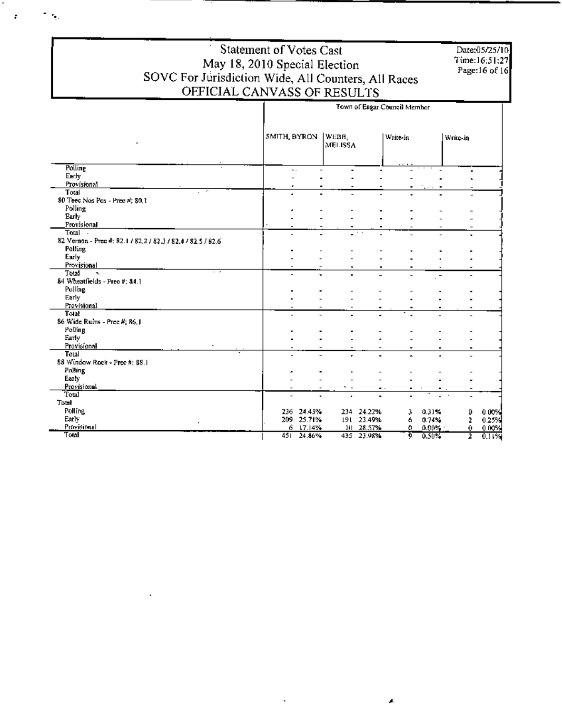$\mathcal{L}_{\rm{max}}$ 

F.

Date:05/25/10<br>Time:16:51:27<br>Page:16 of 16

|                                                             | Town of Eagar Council Member |                |                  |                    |                |                          |          |       |
|-------------------------------------------------------------|------------------------------|----------------|------------------|--------------------|----------------|--------------------------|----------|-------|
|                                                             | SMITH, BYRON                 |                | WEBB,<br>MELISSA |                    | Write-in       |                          | Write-in |       |
| Polling                                                     | $\overline{\phantom{a}}$ .   |                |                  |                    |                |                          |          |       |
| Early                                                       |                              |                |                  |                    |                |                          |          |       |
| Provisional                                                 |                              |                |                  |                    |                |                          |          |       |
| Total<br>80 Teed Nos Pas - Prec #; 80,1                     |                              |                |                  |                    | ۰.             |                          |          |       |
| Polling                                                     |                              |                |                  |                    |                |                          |          |       |
| Early                                                       |                              |                |                  |                    |                |                          |          |       |
| Provisional                                                 |                              |                |                  |                    |                |                          |          |       |
| Total                                                       |                              |                |                  |                    |                |                          |          |       |
| 82 Vernon - Prec #: 82.1 / 82.2 / 82.3 / 82.4 / 82.5 / 82.6 |                              |                |                  |                    |                |                          |          |       |
| Polling                                                     |                              |                |                  |                    |                |                          |          |       |
| Early                                                       |                              |                |                  |                    |                |                          |          |       |
| Provisional                                                 |                              |                | $\blacksquare$   | $\blacksquare$     | $\blacksquare$ |                          |          |       |
| $\overline{\cdot}$ .<br>Total<br>$\mathbf{u}_\mathrm{c}$    |                              | $\blacksquare$ |                  |                    | $\blacksquare$ | $\overline{\phantom{a}}$ |          |       |
| 84 Wheatfields - Prec #; 84.1                               |                              |                |                  |                    |                |                          |          |       |
| Polling                                                     |                              |                |                  |                    |                |                          |          |       |
| Early                                                       |                              |                |                  |                    |                |                          |          |       |
| Provisional                                                 |                              |                |                  |                    |                |                          |          |       |
| Total                                                       |                              |                |                  |                    |                |                          |          |       |
| 86 Wide Ruins - Prec #; 86,1                                |                              |                |                  |                    |                |                          |          |       |
| Polling<br>Farly                                            |                              |                |                  |                    |                |                          |          |       |
| Provisional                                                 |                              |                |                  | $\hat{\mathbf{r}}$ |                |                          |          |       |
| Total                                                       |                              |                |                  |                    |                |                          | ٠        |       |
| 88 Window Rock - Prec #: 88.1                               |                              |                |                  |                    |                |                          |          |       |
| Polling                                                     |                              |                |                  |                    |                |                          |          |       |
| Early                                                       |                              |                |                  |                    |                |                          |          |       |
| Provisional                                                 |                              |                |                  |                    |                |                          |          |       |
| Total                                                       |                              | ٠              |                  |                    |                |                          |          |       |
| Total                                                       |                              |                |                  |                    |                |                          |          |       |
| Polling                                                     | 236                          | 24.43%         |                  | 234 24.22%         | 3              | 0.31%                    | D        | 0.00% |
| Early<br>٠                                                  | 209                          | 25.71%         |                  | 191 23.49%         | ó              | 0.74%                    | 2        | 0.25% |
| Provisional                                                 | 6.                           | 17.14%         |                  | 10 28.57%          | O              | 0.00%                    | 0        | 0.00% |
| Total                                                       | 451                          | 24.86%         |                  | 435 23.98%         | ÿ              | 0.50%                    | 2        | 0.11% |

J.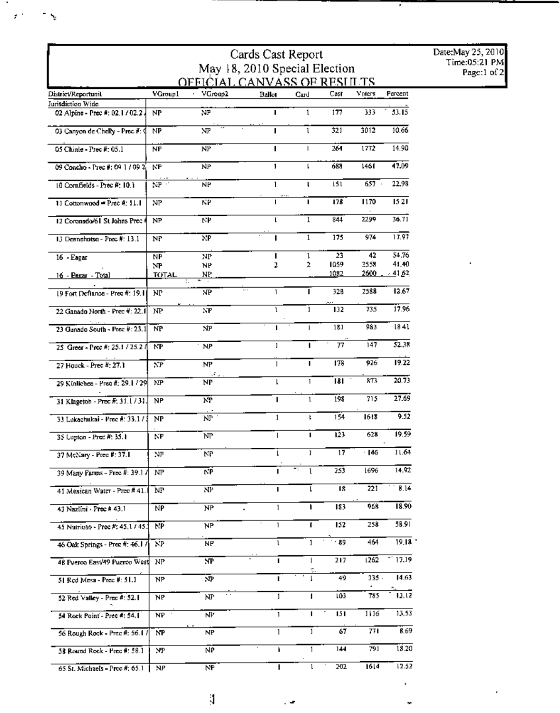| Cards Cast Report<br>May 18, 2010 Special Election |                               |                                     |                |                |                  |        |                   | Date: May 25, 2010<br>Time:05:21 PM<br>Page:1 of 2 |
|----------------------------------------------------|-------------------------------|-------------------------------------|----------------|----------------|------------------|--------|-------------------|----------------------------------------------------|
|                                                    |                               | OFFICIAL CANVASS OF RESITTS         |                |                |                  |        |                   |                                                    |
| District/Reportunit                                | VGroup1                       | $\overline{V}$ VGroup2              | Dallot         | Curd           | Cast             | Voters | Percent           |                                                    |
| Jurisdiction Wide                                  |                               |                                     |                |                |                  |        |                   |                                                    |
| 02 Alpine - Prec #: 02.1 / 02.2.                   | NP                            | NP                                  | п              | $\mathfrak{t}$ | 177              | 333    | 53.15             |                                                    |
| 03 Canyon de Chelly - Prec #: 0                    | NP                            | NP                                  | п              | ı              | 321              | 3012   | 10.66             |                                                    |
| 05 Chinle - Prec #: 05.1                           | <b>NP</b>                     | $\overline{NP}$                     | П              | $\mathbf{I}$   | 264              | 1772   | 14.90             |                                                    |
| 09 Concho - Prec #: 09 1 / 09 2;                   | NP                            | N <sub>P</sub>                      | ł.             | ľ              | 688              | 1461   | 47.09             |                                                    |
| 10 Comfields - Prec #: 10.1                        | $\mathcal{M} \mathbf{P}^{-1}$ | <b>NP</b>                           | $\mathbf{1}$   | ŧ              | 151              | 657    | 22.98             |                                                    |
| 11 Cottonwood = Prec #: 11.1                       | NP                            | КP                                  |                | ı              | 178              | 1170   | 15.21             |                                                    |
| 12 Coronado/61 St Johns Prec+                      | NP                            | $\overline{\bf NP}$                 | L              | $\overline{1}$ | 844              | 2299   | 36.71             |                                                    |
| 13 Dennehotso - Prec #: 13.1                       | NP                            | $\overline{NP}$                     | ı              | $\mathbf{1}$   | 175              | 974    | 17.97             |                                                    |
| 16 - Eagar                                         | NP                            | NP                                  | ı              | ı              | 23               | 42     | 54.76             |                                                    |
|                                                    | NP                            | NP                                  | z              | 2              | 1059             | 2558   | 41.40             |                                                    |
| 16 - Fazar - Total                                 | <b>TOTAL</b>                  | <u>NP</u><br>n.,<br>τ.              |                |                | 1082             | 2600   | $-41.62$          |                                                    |
| 19 Fort Defiance - Prec #: 19.1                    | NP                            | $\overline{NP}$                     | 1              | п              | 328              | 2588   | 12.67             |                                                    |
| 22 Ganado North - Prec #: 22.1                     | NP                            | NP                                  | ı              | 1              | 132              | 735    | 17.96             |                                                    |
| 23 Gunado South - Prec #: 23.1                     | NP                            | NP                                  | $\blacksquare$ | $\mathbf{I}$   | 181              | 983    | 1841              |                                                    |
| 25 Green - Proc #: 25.1 / 25.2 /                   | NP                            | NP                                  | ı              | ٠              | 77               | 147    | 32.38             |                                                    |
| 27 Houck - Prec #: 27.1                            | NP                            | $\overline{NP}$                     | $\mathbf{I}$   | $\mathbf{I}$   | 178              | 926    | 19.22             |                                                    |
| 29 Kinlichee - Prec #: 29.1 / 29                   | ΝP                            | NP                                  | L              | $\mathbf{1}$   | $\overline{181}$ | 873    | 20.73             |                                                    |
| 31 Klagetoh - Prec #: 31.1 / 31.                   | NP                            | মা                                  | п              | ı              | $\overline{198}$ | 715    | 27.69             |                                                    |
| 33 Lukachukai - Prec #: 33.1 / 3                   | NP                            | NP 1                                | 1              | t              | 154              | 1613   | 9.52              |                                                    |
| 35 Lupton - Prec #: 35.1                           | NP                            | NΡ                                  | I              | п              | $\overline{123}$ | 628    | 19.59             |                                                    |
| 37 McNary - Prec #: 37.1                           | NP                            | ΝP                                  |                | 1              | 17               | 146    | 11.64             |                                                    |
| 39 Many Farms - Prec #: 39.1 /                     | NP.                           | 邷                                   |                |                | $\overline{253}$ | 1696   | 14.92             |                                                    |
| 41 Mexican Water - Prec # 41.                      | NP                            | $\overline{\mathbf{v}}$             | I.             | ı              | $\overline{18}$  | 221    | 8.14              |                                                    |
| 43 Nazlini - Prec # 43.1                           | <b>NP</b>                     | NP                                  | 1              | ٠.             | 183              | 968    | 18.90             |                                                    |
| 45 Nutrioso - Prec #: 45.1 / 45.                   | NP                            | NP                                  | 1              | ī              | 152              | 258    | 58.91             |                                                    |
| 46 Oak Springs - Prec #: 46.1 /                    | NP                            | ΝP                                  | $\mathfrak{r}$ | I.             | $-89$            | 464    | $19.18 -$         |                                                    |
| 48 Puerco East/49 Puerco West                      | NP                            | $\overline{\mathbf{M}}$             | п              |                | $\overline{217}$ | 1262   | $-17,19$          |                                                    |
| 51 Red Mesa - Prec #: 51.1                         | NP                            | $\overline{\mathbf{v}}$             | I.             |                | 49               | 335.   | 14.63             |                                                    |
| 52 Red Valley - Prec #: 52.1                       | <b>NP</b>                     | $\overline{\text{NP}}$<br>$\cdot$ . | $\overline{1}$ | ı              | $\frac{1}{103}$  | 785    | $\frac{1}{13.12}$ |                                                    |
| 54 Rock Point - Prec #: 54.1                       | NP :                          | NΨ                                  | $\mathbf{1}$   | п              | 151              | 1116   | 13,53             |                                                    |
| 56 Rough Rock - Prec #: 56.1                       | NP                            | <b>NP</b>                           | $\mathbf{1}$   | 1              | 67               | 771    | 8.69              |                                                    |
| 58 Round Rock - Prec #: 58.1                       | NP.                           | $N$ $P$                             | ٠              | 1              | 144              | 791    | 18.20             |                                                    |
| 65 St. Michaels - Pree #: 65.1                     | NP                            | $\overline{NP}$                     | ı.             | ı              | 202              | 1614   | 12.52             |                                                    |

 $\sim$ 

 $\mathbf{y}^{(1)}$  .

 $\gamma_{\rm S}$ 

 $\mathbf{j}$ 

 $\epsilon$  or

÷

7